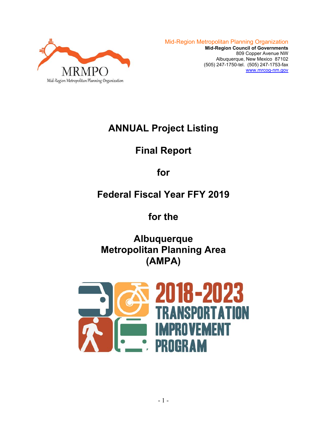

# **ANNUAL Project Listing**

# **Final Report**

## **for**

# **Federal Fiscal Year FFY 2019**

## **for the**

**Albuquerque Metropolitan Planning Area (AMPA)** 

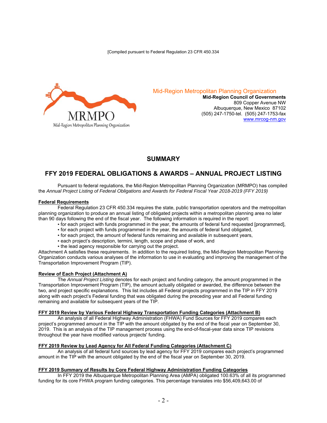[Compiled pursuant to Federal Regulation 23 CFR 450.334



Mid-Region Metropolitan Planning Organization

**Mid-Region Council of Governments**  809 Copper Avenue NW Albuquerque, New Mexico 87102 (505) 247-1750-tel. (505) 247-1753-fax www.mrcog-nm.gov

### **SUMMARY**

### **FFY 2019 FEDERAL OBLIGATIONS & AWARDS – ANNUAL PROJECT LISTING**

 Pursuant to federal regulations, the Mid-Region Metropolitan Planning Organization (MRMPO) has compiled the *Annual Project Listing of Federal Obligations and Awards for Federal Fiscal Year 2018-2019 (FFY 2019)* 

#### **Federal Requirements**

 Federal Regulation 23 CFR 450.334 requires the state, public transportation operators and the metropolitan planning organization to produce an annual listing of obligated projects within a metropolitan planning area no later than 90 days following the end of the fiscal year. The following information is required in the report:

- for each project with funds programmed in the year, the amounts of federal fund requested [programmed],
- for each project with funds programmed in the year, the amounts of federal fund obligated,
- for each project, the amount of federal funds remaining and available in subsequent years,
- each project's description, termini, length, scope and phase of work, and
- the lead agency responsible for carrying out the project.

Attachment A satisfies these requirements. In addition to the required listing, the Mid-Region Metropolitan Planning Organization conducts various analyses of the information to use in evaluating and improving the management of the Transportation Improvement Program (TIP).

#### **Review of Each Project (Attachment A)**

 The *Annual Project Listing* denotes for each project and funding category, the amount programmed in the Transportation Improvement Program (TIP), the amount actually obligated or awarded, the difference between the two, and project specific explanations. This list includes all Federal projects programmed in the TIP in FFY 2019 along with each project's Federal funding that was obligated during the preceding year and all Federal funding remaining and available for subsequent years of the TIP.

#### **FFY 2019 Review by Various Federal Highway Transportation Funding Categories (Attachment B)**

 An analysis of all Federal Highway Administration (FHWA) Fund Sources for FFY 2019 compares each project's programmed amount in the TIP with the amount obligated by the end of the fiscal year on September 30, 2019. This is an analysis of the TIP management process using the end-of-fiscal-year data since TIP revisions throughout the year have modified various projects' funding.

#### **FFY 2019 Review by Lead Agency for All Federal Funding Categories (Attachment C)**

 An analysis of all federal fund sources by lead agency for FFY 2019 compares each project's programmed amount in the TIP with the amount obligated by the end of the fiscal year on September 30, 2019.

#### **FFY 2019 Summary of Results by Core Federal Highway Administration Funding Categories**

 In FFY 2019 the Albuquerque Metropolitan Planning Area (AMPA) obligated 100.63% of all its programmed funding for its core FHWA program funding categories. This percentage translates into \$56,409,643.00 of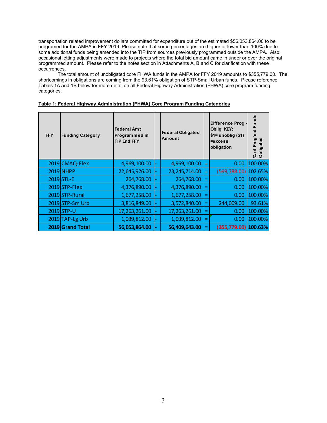transportation related improvement dollars committed for expenditure out of the estimated \$56,053,864.00 to be programed for the AMPA in FFY 2019. Please note that some percentages are higher or lower than 100% due to some additional funds being amended into the TIP from sources previously programmed outside the AMPA. Also, occasional letting adjustments were made to projects where the total bid amount came in under or over the original programmed amount. Please refer to the notes section in Attachments A, B and C for clarification with these occurrences.

The total amount of unobligated core FHWA funds in the AMPA for FFY 2019 amounts to \$355,779.00. The shortcomings in obligations are coming from the 93.61% obligation of STP-Small Urban funds. Please reference Tables 1A and 1B below for more detail on all Federal Highway Administration (FHWA) core program funding categories.

| Table 1: Federal Highway Administration (FHWA) Core Program Funding Categories |
|--------------------------------------------------------------------------------|
|--------------------------------------------------------------------------------|

| <b>FFY</b> | <b>Funding Category</b> | <b>Federal Amt</b><br>Programmed in<br><b>TIP End FFY</b> | <b>Federal Obligated</b><br>Amount |     | <b>Difference Prog</b><br>Oblig KEY:<br>$$1=$ unoblig $($1)$<br>$=$ excess<br>obligation | Funds<br>Prog'md<br>Obligated<br>$\overline{\sigma}$<br>వ్ |
|------------|-------------------------|-----------------------------------------------------------|------------------------------------|-----|------------------------------------------------------------------------------------------|------------------------------------------------------------|
|            | 2019 CMAQ-Flex          | 4,969,100.00                                              | 4,969,100.00                       | =   | 0.00                                                                                     | 100.00%                                                    |
|            | 2019 NHPP               | 22,645,926.00                                             | 23, 245, 714.00                    |     | (599,788.00) 102.65%                                                                     |                                                            |
|            | 2019 STL-E              | 264,768.00                                                | 264,768.00                         | Ξ   | 0.00                                                                                     | 100.00%                                                    |
|            | 2019 STP-Flex           | 4,376,890.00                                              | 4,376,890.00                       |     | 0.00                                                                                     | 100.00%                                                    |
|            | 2019 STP-Rural          | 1,677,258.00                                              | 1,677,258.00                       | =   | 0.00                                                                                     | 100.00%                                                    |
|            | 2019 STP-Sm Urb         | 3,816,849.00                                              | 3,572,840.00                       | =   | 244,009.00                                                                               | 93.61%                                                     |
|            | 2019 STP-U              | 17,263,261.00                                             | 17,263,261.00                      | $=$ | 0.00                                                                                     | 100.00%                                                    |
|            | 2019 TAP-Lg Urb         | 1,039,812.00                                              | 1,039,812.00                       |     | 0.00                                                                                     | 100.00%                                                    |
|            | 2019 Grand Total        | 56,053,864.00                                             | 56,409,643.00                      | Ξ   | (355,779.00) 100.63%                                                                     |                                                            |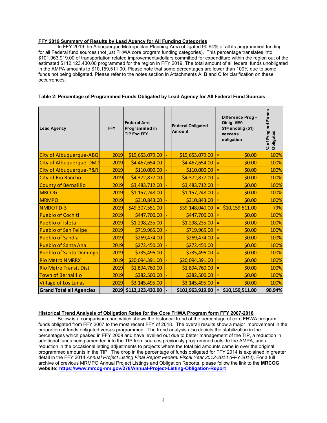#### **FFY 2019 Summary of Results by Lead Agency for All Funding Categories**

 In FFY 2019 the Albuquerque Metropolitan Planning Area obligated 90.94% of all its programmed funding for all Federal fund sources (not just FHWA core program funding categories). This percentage translates into \$101,963,919.00 of transportation related improvements/dollars committed for expenditure within the region out of the estimated \$112,123,430.00 programmed for the region in FFY 2019. The total amount of all federal funds unobligated in the AMPA amounts to \$10,159,511.00. Please note that some percentages are lower than 100% due to some funds not being obligated. Please refer to the notes section in Attachments A, B and C for clarification on these occurrences.

|  | Table 2: Percentage of Programmed Funds Obligated by Lead Agency for All Federal Fund Sources |
|--|-----------------------------------------------------------------------------------------------|
|  |                                                                                               |
|  |                                                                                               |

| <b>Lead Agency</b>              | <b>FFY</b> | <b>Federal Amt</b><br>Programmed in<br><b>TIP End FFY</b> | <b>Federal Obligated</b><br>Amount | Difference Prog -<br>Oblig KEY:<br>$$1=$ unoblig $($1)$<br>=excess<br>obligation | % of Prog'md Funds<br>Obligated |
|---------------------------------|------------|-----------------------------------------------------------|------------------------------------|----------------------------------------------------------------------------------|---------------------------------|
| City of Albuquerque-ABQ         | 2019       | \$19,653,079.00                                           | \$19,653,079.00                    | \$0.00                                                                           | 100%                            |
| City of Albuquerque-DMD         | 2019       | \$4,467,654.00                                            | \$4,467,654.00                     | \$0.00                                                                           | 100%                            |
| City of Albuquerque-P&R         | 2019       | \$110,000.00                                              | \$110,000.00                       | \$0.00                                                                           | 100%                            |
| <b>City of Rio Rancho</b>       | 2019       | \$4,372,877.00                                            | \$4,372,877.00                     | \$0.00                                                                           | 100%                            |
| <b>County of Bernalillo</b>     | 2019       | \$3,483,712.00                                            | \$3,483,712.00                     | \$0.00                                                                           | 100%                            |
| <b>MRCOG</b>                    | 2019       | \$1,157,248.00                                            | \$1,157,248.00                     | \$0.00                                                                           | 100%                            |
| <b>MRMPO</b>                    | 2019       | \$310,843.00                                              | \$310,843.00                       | \$0.00                                                                           | 100%                            |
| <b>NMDOT D-3</b>                | 2019       | \$49,307,551.00                                           | \$39,148,040.00                    | \$10,159,511.00                                                                  | 79%                             |
| <b>Pueblo of Cochiti</b>        | 2019       | \$447,700.00                                              | \$447,700.00                       | \$0.00                                                                           | 100%                            |
| <b>Pueblo of Isleta</b>         | 2019       | \$1,298,235.00                                            | \$1,298,235.00                     | \$0.00                                                                           | 100%                            |
| <b>Pueblo of San Felipe</b>     | 2019       | \$719,965.00                                              | \$719,965.00                       | \$0.00                                                                           | 100%                            |
| <b>Pueblo of Sandia</b>         | 2019       | \$269,474.00                                              | \$269,474.00                       | \$0.00                                                                           | 100%                            |
| <b>Pueblo of Santa Ana</b>      | 2019       | \$272,450.00                                              | \$272,450.00                       | \$0.00                                                                           | 100%                            |
| <b>Pueblo of Santo Domingo</b>  | 2019       | \$735,496.00                                              | \$735,496.00                       | \$0.00                                                                           | 100%                            |
| <b>Rio Metro NMRRX</b>          | 2019       | \$20,094,391.00                                           | \$20,094,391.00                    | \$0.00                                                                           | 100%                            |
| <b>Rio Metro Transit Dist</b>   | 2019       | \$1,894,760.00                                            | \$1,894,760.00                     | \$0.00                                                                           | 100%                            |
| <b>Town of Bernalillo</b>       | 2019       | \$382,500.00                                              | \$382,500.00                       | \$0.00                                                                           | 100%                            |
| <b>Village of Los Lunas</b>     | 2019       | \$3,145,495.00                                            | \$3,145,495.00                     | \$0.00                                                                           | 100%                            |
| <b>Grand Total all Agencies</b> | 2019       | \$112,123,430.00                                          | \$101,963,919.00                   | \$10,159,511.00                                                                  | 90.94%                          |

#### **Historical Trend Analysis of Obligation Rates for the Core FHWA Program form FFY 2007-2018**

 Below is a comparison chart which shows the historical trend of the percentage of core FHWA program funds obligated from FFY 2007 to the most recent FFY of 2018. The overall results show a major improvement in the proportion of funds obligated versus programmed. The trend analysis also depicts the stabilization in the percentages which peaked in FFY 2009 and have levelled out due to better management of the TIP, a reduction in additional funds being amended into the TIP from sources previously programmed outside the AMPA, and a reduction in the occasional letting adjustments to projects where the total bid amounts came in over the original programmed amounts in the TIP. The drop in the percentage of funds obligated for FFY 2014 is explained in greater detail in the FFY 2014 *Annual Project Listing Final Report Federal Fiscal Year 2013-2014 (FFY 2014)*. For a full archive of previous MRMPO Annual Project Listings and Obligation Reports, please follow the link to the **MRCOG website: https://www.mrcog-nm.gov/278/Annual-Project-Listing-Obligation-Report**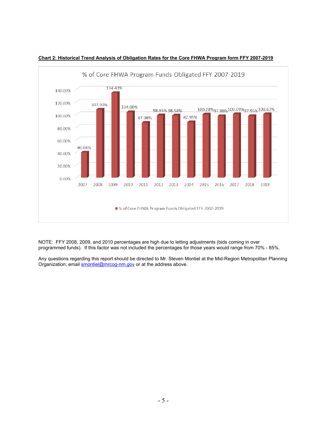

#### **Chart 2: Historical Trend Analysis of Obligation Rates for the Core FHWA Program form FFY 2007-2019**

NOTE: FFY 2008, 2009, and 2010 percentages are high due to letting adjustments (bids coming in over programmed funds). If this factor was not included the percentages for those years would range from 70% - 85%.

Any questions regarding this report should be directed to Mr. Steven Montiel at the Mid-Region Metropolitan Planning Organization; email smontiel@mrcog-nm.gov or at the address above.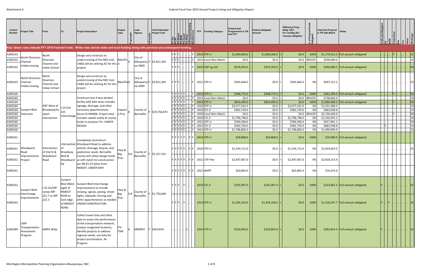| Control<br><b>Number</b>      | <b>Project Title</b>                                  | From                                               | To                                               | <b>Project Description</b>                                                                                                                                                                                                                  | Project<br>Type    | Lead<br>Agency<br>$\ddot{t}$ | <b>Total Estimated</b><br><b>Project Cost</b>                                        |                                     |   | <b>FFY</b> | <b>Funding Category</b>                                 | <b>Federal Amt</b><br>Programmed in TIF<br><b>End FFY</b> | <b>Federal Obligated</b><br>Amount    | Difference Prog -<br>Oblig KEY:<br>$$1=$ unoblig $$1)$<br>=excess obligation | 'ত :                           | <b>Total Amt Prog'md</b><br>in TIP with Match | <b>Notes</b>                                                               |   |                     |
|-------------------------------|-------------------------------------------------------|----------------------------------------------------|--------------------------------------------------|---------------------------------------------------------------------------------------------------------------------------------------------------------------------------------------------------------------------------------------------|--------------------|------------------------------|--------------------------------------------------------------------------------------|-------------------------------------|---|------------|---------------------------------------------------------|-----------------------------------------------------------|---------------------------------------|------------------------------------------------------------------------------|--------------------------------|-----------------------------------------------|----------------------------------------------------------------------------|---|---------------------|
|                               |                                                       |                                                    |                                                  | Key: Green rows indicate FFY 2019 Federal Funds. White rows denote state and local funding along with previous and subsequent funding.                                                                                                      |                    |                              |                                                                                      |                                     |   |            |                                                         |                                                           |                                       |                                                                              |                                |                                               |                                                                            |   |                     |
| A300143<br>A300143<br>A300143 | North Diversion<br>Channel<br>Undercrossing           | North<br>Diversion<br>Channel and<br>Indian School |                                                  | Design and construct an<br>undercrossing of the NDC trail. $ Bike/Pe $<br>CABQ will be utilizing AC for this d<br>project.                                                                                                                  |                    | City of<br>ue-DMD            | Albuquerq Y \$2,811,564                                                              | $Y$ $Y$ $Y$ $\ldots$                |   |            | $2019$ STP-U<br>2019 Local Non-Match<br>2019 TAP-Lg Urb | \$1,000,000.0<br>\$0.0\$<br>\$379,354.0                   | \$1,000,000.0<br>\$0.0<br>\$379,354.0 | \$0.0\$<br>$\vert$ \$0.0 $\vert$                                             | 100%<br>$$0.0$ #DIV/0!<br>100% | \$500,000.0                                   | \$1,170,412.0 Full amount obligated<br>\$444,000.5   Full amount obligated |   | 21<br>23<br> 04     |
| A300143                       | North Diversion<br>Channel<br>Undercrossing           | North<br>Diversion<br>Channel and<br>Indian School |                                                  | Design and construct an<br>undercrossing of the NDC trail.<br>CABQ will be utilizing AC for this<br>project.                                                                                                                                | Bike/Ped0          | City of<br>ue-DMD            | Albuquerq Y \$2,811,564                                                              | Y  Y  Y          Y                  |   |            | 2021 STP-U                                              | \$595,646.0                                               | \$0.0                                 | \$595,646.0                                                                  | 0%                             | \$697,151.2                                   |                                                                            |   | 23                  |
| A300160                       |                                                       |                                                    |                                                  |                                                                                                                                                                                                                                             |                    |                              |                                                                                      | YYYYYY.                             |   |            | $2019$ STP-U                                            | \$308,775.0                                               | $$308,775.0$ =                        | \$0.0                                                                        | $100\%$                        |                                               | \$361,394.0 Full amount obligated                                          | Y | 03                  |
| A300160<br>A300160            |                                                       |                                                    |                                                  | Construct new 4 lane divided<br>facility with bike lanes includes                                                                                                                                                                           |                    |                              |                                                                                      | Y Y Y Y Y <br>Y Y Y Y Y             |   |            | 2019 Local Non-Match<br>$2019$ STP-U                    | \$0.0<br>\$854,400.0                                      | \$0.0<br>\$854,400.0                  | $\vert$ \$0.0 $\vert$                                                        | \$0.0 #DIV/0!<br>$100\%$       | \$738,606.0                                   | \$1,000,000.0 Full amount obligated                                        |   | 23 <br> 03          |
| A300160                       |                                                       | 500' West of                                       | I-25 Exit                                        | signage, drainage, and other                                                                                                                                                                                                                |                    |                              |                                                                                      | Y  Y  Y  Y  Y      Y                |   |            | 2020 STP-U                                              | $\overline{$}2,077,542.0$                                 | \$0.0                                 | \$2,077,542.0                                                                | 0%                             | \$2,431,580.0                                 |                                                                            |   | 15                  |
| A300160                       | Sunport Blvd                                          | Broadway/Su                                        | 221                                              | necessary appurtenances.                                                                                                                                                                                                                    | Capacit            | County of                    | Y \$19,756,874                                                                       | Y Y Y Y Y .                         |   |            | 2020 STL-E                                              | \$582,734.0                                               | \$0.0                                 | \$582,734.0                                                                  | 0%                             | \$682,038.8                                   |                                                                            |   | 15                  |
| A300160                       | Extension                                             | nport                                              | Interchange                                      | Demo ID NM006. Project total<br>includes capital outlay & county                                                                                                                                                                            | <sup>,</sup> Proj  | Bernalillo                   |                                                                                      | Y Y Y Y Y <br> Y Y Y Y Y            |   |            | 2020 Local Non-Match<br>2020 STL-E                      | \$0.0\$<br>\$1,796,748.0                                  | \$0.0                                 | \$1,796,748.0                                                                | \$0.0 #DIV/0!                  | \$3,726,426.0<br>\$2,102,935.3                |                                                                            |   | 06                  |
| A300160<br>A300160            |                                                       | intersection                                       |                                                  | funds in previous FYs. UNDER                                                                                                                                                                                                                |                    |                              |                                                                                      | Y Y Y Y Y                           |   |            | 2021 STP-U                                              | \$784,306.0                                               | \$0.0<br>\$0.0                        | \$784,306.0                                                                  | 0%<br>0%                       | \$917,961.1                                   |                                                                            |   | 16 <br>$ 03\rangle$ |
| A300160                       |                                                       |                                                    |                                                  | <b>DESIGN</b>                                                                                                                                                                                                                               |                    |                              |                                                                                      | YYYYYY                              |   |            | $2021$ STL-E                                            | \$582,734.0                                               | \$0.0                                 | \$582,734.0                                                                  | 0%                             | \$682,038.8                                   |                                                                            |   | 15                  |
| A300160                       |                                                       |                                                    |                                                  |                                                                                                                                                                                                                                             |                    |                              |                                                                                      | $Y$ $Y$ $Y$ $Y$ $Y$ $\ldots$        |   |            | 2022 STP-U                                              | \$1,708,800.0                                             | \$0.0                                 | \$1,708,800.0                                                                | 0%                             | \$1,999,999.9                                 |                                                                            |   | 15                  |
| A300161                       |                                                       |                                                    |                                                  | Completely reconstruct                                                                                                                                                                                                                      |                    |                              |                                                                                      | Y Y Y Y Y Y L. Y Y                  |   |            | $2019$ STP-U                                            | \$59,808.0                                                | \$59,808.0                            | \$0.0\$                                                                      | 100%                           |                                               | \$70,000.0 Full amount obligated                                           |   |                     |
| A300161                       | Woodward<br>Road                                      | Intersection<br>of 2nd St &                        | Broadway                                         | Intersection Woodward Road to address<br>vehicle, drainage, bicycle, and<br>pedestrian needs. Bernalillo                                                                                                                                    | Hwy &              | County of                    |                                                                                      | Y  Y  Y  Y  Y    Y  Y   2020  STP-U |   |            |                                                         | \$1,554,712.0                                             | \$0.0                                 | \$1,554,712.0                                                                | 0%                             | \$1,819,653.5                                 |                                                                            |   | 23                  |
| A300161                       | Improvements<br>Project                               | Woodward<br>Road                                   | Blvd &<br>Woodward<br>Rd                         | County will utilize design funds<br>as soft match for construction<br>per 08-25-15 letter from                                                                                                                                              | Pres               | 0.6 <br>Bernalillo           | $ Y $ \$5,157,141                                                                    | YYYYYY Y L. YY L                    |   |            | 2021 STP-Flex                                           | \$2,407,967.0                                             | \$0.0                                 | \$2,407,967.0                                                                | 0%                             | \$2,818,313.4                                 |                                                                            |   |                     |
| A300161                       |                                                       |                                                    |                                                  | NMDOT. UNDER WAY                                                                                                                                                                                                                            |                    |                              |                                                                                      | Y  Y  Y  Y  V    Y  Y   2021  NHPP  |   |            |                                                         | \$63,802.0                                                | $$0.0 =$                              | \$63,802.0                                                                   | 0%                             | \$74,674.6                                    |                                                                            |   |                     |
| A300162                       | Sunport Blvd-<br>Interchange                          | I-25 On/Off<br>ramps MP                            | Sunport<br>Blvd (West<br>egde of<br><b>NMDOT</b> | Sunport Blvd Interchange<br>Improvements to include<br>striping, signals, paving, street                                                                                                                                                    | Hwy &              | 0.8                          | $\begin{array}{c c} \text{Country of} & \text{y} & \text{51,750,000} \\ \end{array}$ | $ Y Y Y $ $ Y $ 2019 STL-E          |   |            |                                                         | \$191,097.0                                               | \$191,097.0                           | \$0.0\$                                                                      | $100\%$                        |                                               | \$223,662.2 Full amount obligated                                          |   | 01                  |
| A300162                       | Improvements                                          | 221.7 to MP<br>222.5                               | ROW to<br>East edge<br>of NMDOT<br>ROW)          | lights, sidewalk, fencing and<br>other appurtenances as needed.<br>UNDER CONSTRUCTION                                                                                                                                                       | Brg<br>Pres        | Bernalillo                   |                                                                                      | Y Y Y  Y                            |   |            | $\vert$ 2019 STP-U                                      | \$1,304,103.0                                             | \$1,304,103.0                         | \$0.0                                                                        | 100%                           |                                               | \$1,526,337.7   Full amount obligated                                      |   |                     |
| A300189                       | <b>CMP</b><br>Transportation<br>Assessment<br>Program | <b>AMPA Wide</b>                                   |                                                  | Collect travel time and other<br>data to assess the performance<br>of the transportation network,<br>analyze congested locations,<br>identify projects to address<br>regional needs, use data for<br>project prioritization. IN<br>Progress | ITS-<br><b>TSM</b> |                              | MRMPO Y \$363,814                                                                    |                                     | Y |            | $2019$ STP-U                                            | \$310,843.0                                               | $$310,843.0$ =                        | \$0.0\$                                                                      | $100\%$                        |                                               | \$363,814.4   Full amount obligated                                        |   | 23                  |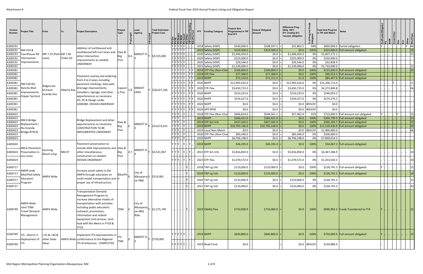| Control<br><b>Number</b> | <b>Project Title</b>                                                 | From                         |             | <b>Project Description</b>                                                                                                                                                                                                                                                             | Project<br>Type<br>듧     | Lead<br>Agency                         | <b>Total Estimated</b><br><b>Project Cost</b> |                 | 흵럷럷리            | <b>FFY</b> | <b>Funding Category</b>                       | <b>Federal Amt</b><br>Programmed in TIP<br><b>End FFY</b> | <b>Federal Obligated</b><br><b>Amount</b> | Difference Prog -<br>Oblig KEY:<br>\$1= unoblig (\$1)<br>=excess obligation |                | Total Amt Prog'md<br>in TIP with Match | <b>Notes</b>                                                                 |           |                           |              |
|--------------------------|----------------------------------------------------------------------|------------------------------|-------------|----------------------------------------------------------------------------------------------------------------------------------------------------------------------------------------------------------------------------------------------------------------------------------------|--------------------------|----------------------------------------|-----------------------------------------------|-----------------|-----------------|------------|-----------------------------------------------|-----------------------------------------------------------|-------------------------------------------|-----------------------------------------------------------------------------|----------------|----------------------------------------|------------------------------------------------------------------------------|-----------|---------------------------|--------------|
| A300191                  |                                                                      |                              |             | Addition of northbound and                                                                                                                                                                                                                                                             |                          |                                        |                                               | Y  Y  Y  Y  Y   |                 |            | 2018 Safety (HSIP)                            | \$540,000.0                                               | \$508,197.5                               | \$31,802.5                                                                  | 94%            |                                        | \$600,000.0 Partial obligation                                               |           |                           |              |
| A300191                  | NM 314 &                                                             |                              |             | southbound left-turn lanes and                                                                                                                                                                                                                                                         | Hwy &                    |                                        |                                               | Y  Y  Y  Y  Y   |                 |            | 2019 Safety (HSIP)                            | \$319,500.0                                               | \$319,500.0                               | \$0.0\$                                                                     | 100%           |                                        | \$355,000.0 Full amount obligated                                            |           |                           |              |
| A300191                  | Courthouse Rd                                                        | MP 7.25 (Park MP 7.85        |             | other intersection                                                                                                                                                                                                                                                                     | Brg                      | NMDOT D-                               | \$4,555,000                                   | Y Y Y Y Y       |                 |            | 2020 Safety (HSIP)                            | \$1,446,454.0                                             | \$0.0                                     | \$1,446,454.0                                                               | 0%             | \$1,607,171.1                          |                                                                              |           |                           |              |
| A300191                  | Intersection                                                         | Lane)                        | (Teles St)  | improvements as needed.                                                                                                                                                                                                                                                                | Pres                     |                                        |                                               | Y Y Y Y Y       |                 |            | 2020 Safety (HSIP)                            | \$225,000.0                                               | \$0.0                                     | \$225,000.0                                                                 | 0%             | \$250,000.0                            |                                                                              |           |                           |              |
| A300191                  | Improvements                                                         |                              |             | UNDERWAY                                                                                                                                                                                                                                                                               |                          |                                        |                                               | Y Y Y Y Y       |                 |            | 2020 Safety (HSIP)                            | \$29,546.0                                                | \$0.0                                     | \$29,546.0                                                                  | 0%             | \$32,828.9                             |                                                                              |           |                           |              |
| A300191                  |                                                                      |                              |             |                                                                                                                                                                                                                                                                                        |                          |                                        |                                               | Y Y Y Y Y       |                 |            | 2021 Safety (HSIP)<br>2019 STP-Flex (Non-Char | \$1,539,000.0                                             | \$0.0                                     | \$1,539,000.0                                                               | 0%             | \$1,710,000.0                          |                                                                              |           |                           | 23           |
| A300381<br>A300381       |                                                                      |                              |             |                                                                                                                                                                                                                                                                                        |                          |                                        |                                               | Y Y Y Y Y .     | Y Y Y Y Y L Y Y |            | $2019$ STP-Flex                               | \$106,800.0<br>\$77,368.0                                 | \$106,800.0<br>\$77,368.0                 | \$0.0\$<br>\$0.0\$                                                          | 100%<br>100%   |                                        | \$125,000.0 Full amount obligated<br>\$90,552.4 Full amount obligated        |           |                           |              |
| A300381                  |                                                                      |                              |             | Pavement overlay and widening                                                                                                                                                                                                                                                          |                          |                                        |                                               |                 | Y Y Y Y Y L Y Y |            | $2019$ NHPP                                   | \$72,152.0                                                | \$72,151.0                                | \$1.0                                                                       | 100%           |                                        | \$84,447.6   Full amount obligated                                           |           |                           |              |
| A300381                  |                                                                      |                              |             | from 4 to 6 lanes including                                                                                                                                                                                                                                                            |                          |                                        |                                               | Y IY IY IY IY I |                 |            | 2020 NHPP                                     | \$12,992,616.0                                            | \$0.0                                     | \$12,992,616.0                                                              | 0%             | \$15,206,713.0                         |                                                                              |           |                           |              |
|                          | <b>NM 528 Rio</b>                                                    | Ridgecrest                   |             | pavement markings, bike path,                                                                                                                                                                                                                                                          |                          |                                        |                                               |                 |                 |            |                                               |                                                           |                                           |                                                                             |                |                                        |                                                                              |           |                           |              |
| A300381                  | Rancho Blvd                                                          | Dr/Leon                      | Alberta Ave | drainage improvements,<br>shoulders, signage, and other                                                                                                                                                                                                                                | Capacit<br>1.8           | <b>NMDOT</b><br><b>CRDC</b>            | \$28,027,166                                  | Y Y Y Y Y I     |                 |            | 2020 STP-Flex                                 | \$3,650,723.0                                             | \$0.0                                     | \$3,650,723.0                                                               | $0\%$          | \$4,272,849.8                          |                                                                              |           |                           | 06           |
| A300381                  | mprovements<br>(Upper Section                                        | <b>Grande Ave</b>            |             | appurtenances as necessary.                                                                                                                                                                                                                                                            | <sup>,</sup> Proj        |                                        |                                               | YYYYYY          |                 |            | 2020 NHPP                                     | \$210,233.0                                               | \$0.0                                     | \$210,233.0                                                                 | 0%             | \$246,059.2                            |                                                                              |           |                           |              |
| A300381                  |                                                                      |                              |             | ED, PE & Design under                                                                                                                                                                                                                                                                  |                          |                                        |                                               | Y Y Y Y Y I     |                 |            | 2020 NHPP                                     | \$234,427.0                                               | \$0.0                                     | \$234,427.0                                                                 | 0%             | \$274,376.2                            |                                                                              |           |                           |              |
| A300381                  |                                                                      |                              |             | A300380. DESIGN UNDERWAY                                                                                                                                                                                                                                                               |                          |                                        |                                               | Y Y Y Y Y Y I   |                 |            | 2020 NHPP                                     | \$0.0                                                     | \$0.0                                     |                                                                             | $$0.0$ #DIV/0! | \$0.0                                  |                                                                              |           |                           |              |
| A300381                  |                                                                      |                              |             |                                                                                                                                                                                                                                                                                        |                          |                                        |                                               | YYYYY           |                 |            | 2020 HPP RPS0                                 | \$0.0                                                     | \$0.0                                     | \$0.0\$                                                                     | #DIV/0!        | \$0.0                                  |                                                                              |           |                           |              |
|                          |                                                                      |                              |             |                                                                                                                                                                                                                                                                                        |                          |                                        |                                               | $Y[Y Y $ $Y $   |                 |            |                                               | \$606,624.0                                               |                                           |                                                                             | 91%            |                                        |                                                                              | $Y \cup $ | $\mathbf{r}$ $\mathbf{y}$ |              |
| A300423<br>A300423       |                                                                      |                              |             |                                                                                                                                                                                                                                                                                        |                          |                                        |                                               | $Y Y Y $ $Y $   |                 |            | 2018 STP-Flex (Non-Char<br>2019 NHPP          | \$260,421.0                                               | \$549,561.1<br>\$260,421.0                | \$57,062.9<br>\$0.0\$                                                       | 100%           |                                        | \$710,000.0 Full amount not obligated<br>\$304,799.9   Full amount obligated |           |                           | 23           |
| A300423                  | <b>NM 6 Bridge</b>                                                   |                              |             | Bridge Replacement and other                                                                                                                                                                                                                                                           | Hwy &                    |                                        |                                               | YYY             | . IY I          |            | 2019 STP-Sm Urb                               | \$427,345.0                                               | \$427,345.0                               | \$0.0\$                                                                     | 100%           |                                        | \$500,169.7 Full amount obligated                                            |           |                           | 23           |
| A300423                  | Replacement (                                                        |                              |             | appurtenances as necessary.                                                                                                                                                                                                                                                            | Brg                      | NMDOT D-                               | \$24,673,415                                  | Y Y Y  Y        |                 |            | 2019 NHPP                                     | \$10,705,146.0                                            | \$10,705,146.0                            | \$0.0\$                                                                     | $100\%$        |                                        | $$12,529,430.8$ Full amount obligated                                        |           |                           |              |
| A300423                  | Rio Grande                                                           |                              |             | <b>CONSTRUCTION TO BE</b>                                                                                                                                                                                                                                                              | Pres                     |                                        |                                               | $Y Y Y $ $Y $   |                 |            | 2019 Local Non-Match                          | \$0.0\$                                                   | \$0.0                                     | \$0.0                                                                       | #DIV/0!        | \$1,900,000.0                          |                                                                              |           |                           | 06           |
| A300423                  | Bridge #7453)                                                        |                              |             | IMPLEMENTED UNDERWAY                                                                                                                                                                                                                                                                   |                          |                                        |                                               | Y[Y Y  Y .      |                 |            | 2020 STP-Flex (Non-Char                       | \$85,440.0                                                | \$0.0                                     | \$85,440.0                                                                  | 0%             | \$100,000.0                            |                                                                              |           |                           |              |
| A300423                  |                                                                      |                              |             |                                                                                                                                                                                                                                                                                        |                          |                                        |                                               | $Y Y Y $ $Y $   |                 |            | 2020 NHPP                                     | \$6,706,198.0                                             | \$0.0                                     | \$6,706,198.0                                                               | 0%             | \$7,849,014.3                          |                                                                              |           |                           |              |
| A300424                  | NM 6 Pavement                                                        |                              |             | Pavement preservation to<br>include ADA improvements and Hwy &                                                                                                                                                                                                                         |                          |                                        |                                               | YYY             | . IY            |            | $2019$ NHPP                                   | \$46,195.0                                                | \$46,195.0                                | \$0.0\$                                                                     | 100%           |                                        | \$54,067.2 Full amount obligated                                             |           |                           |              |
| A300424                  | Preservation in<br>Los Lunas                                         | Hunning<br>Ranch Loop        | NM 47       | other miscellaneous<br>construction as needed.                                                                                                                                                                                                                                         | Brg<br>Pres              | NMDOT D-                               | Y  \$4,531,967                                | Y Y Y I. Y      |                 |            | 2022 STP-Sm Urb                               | \$3,816,850.0                                             | \$0.0                                     | \$3,816,850.0                                                               | 0%             | \$4,467,286.9                          |                                                                              |           |                           |              |
| A300424                  |                                                                      |                              |             | <b>DESIGN UNDERWAY</b>                                                                                                                                                                                                                                                                 |                          |                                        |                                               | Y IY IY I IY I  | . IY I          |            | 2023 STP-Flex                                 | \$1,070,572.0                                             | \$0.0                                     | \$1,070,572.0                                                               | $0\%$          | \$1,253,010.3                          |                                                                              |           |                           |              |
| A300717                  | AMPA wide                                                            |                              |             | Increase youth safety in the                                                                                                                                                                                                                                                           |                          |                                        |                                               |                 |                 |            | 2018 TAP-Lg Urb                               | \$110,000.0                                               | \$110,000.0                               | \$0.0\$                                                                     | 100%           |                                        | \$128,745.3 Full amount obligated                                            |           |                           |              |
|                          | A300717 $\,$ $ $ Bike/Ped Safety $\,$ $ $ AMPA Wide                  |                              |             | AMPA through education on                                                                                                                                                                                                                                                              | Bike/Pe $\big _{\Omega}$ | City of<br>Albuquerq Y \$514,981       |                                               |                 |                 |            | $2019$ TAP-Lg Urb                             | \$110,000.0                                               | \$110,000.0                               | \$0.0                                                                       | 100%           |                                        | \$128,745.3 Full amount obligated                                            |           |                           |              |
| A300717                  | Education<br>Program                                                 |                              |             | multi-modal transportation and $ d $<br>proper use of infrastructure.                                                                                                                                                                                                                  |                          | ue-P&R                                 |                                               |                 |                 |            | 2020 TAP-Lg Urb                               | \$110,000.0                                               | \$0.0                                     | \$110,000.0                                                                 | 0%             | \$128,745.3                            |                                                                              |           |                           |              |
| A300717                  |                                                                      |                              |             |                                                                                                                                                                                                                                                                                        |                          |                                        |                                               |                 |                 |            | 2021 TAP-Lg Urb                               | \$110,000.0                                               | \$0.0                                     | \$110,000.0                                                                 | 0%             | \$128,745.3                            |                                                                              |           |                           |              |
| A300749                  | <b>AMPA Wide</b><br>Joint TDM-<br><b>Travel Demand</b><br>Management | <b>AMPA Wide</b>             |             | <b>Transportation Demand</b><br>Management Program to<br>increase alternative modes of<br>transportation with activities<br>including public education,<br>outreach, promotions,<br>information and related<br>equipment and services. Joint<br>lead with Rio Metro in FY18 &<br>FY19. | TDM                      | City of<br>Albuquerq<br>ue-ABQ<br>Ride | $Y$ \$1,275,749                               |                 |                 |            | $2019$ CMAQ-Flex                              | \$710,000.0                                               | \$710,000.0                               | \$0.0\$                                                                     | $100\%$        |                                        | \$830,992.5   Funds Transferred to FTA                                       |           |                           | $ 23\rangle$ |
| A300769                  | ITS - District 3<br>Deployment of                                    | I-25 & I-40 &<br>other State |             | Implement ITS Improvements in<br>AMPA Wide conformance to the Regional                                                                                                                                                                                                                 | ITS-                     | NMDOT D-                               | Y \$750,000                                   | Y Y Y Y Y       |                 |            | $2019$ NHPP                                   | \$640,800.0                                               | \$640,800.0                               | \$0.0\$                                                                     | $100\%$        |                                        | \$750,000.0 Full amount obligated                                            |           |                           | $ 23\rangle$ |
| A300769                  | ITS                                                                  | Hwys                         |             | ITS Architecture. COMPLETED                                                                                                                                                                                                                                                            | <b>TSM</b>               |                                        |                                               | Y Y Y Y Y       |                 |            | 2019 Road Fund                                | \$0.0\$                                                   |                                           |                                                                             | \$0.0 #DIV/0!  | \$149,886.0                            |                                                                              |           |                           |              |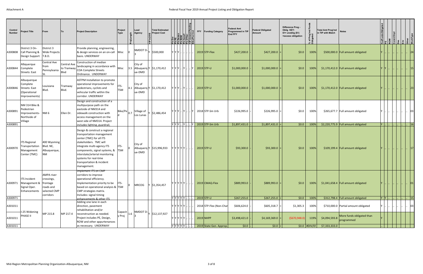| Control<br><b>Number</b> | <b>Project Title</b>                                                             | From                                                                                  | To                         | <b>Project Description</b>                                                                                                                                                                                                                                                                 | Project<br>Type    | Lead<br>Agency                                                                               | <b>Total Estimated</b><br><b>Project Cost</b>                                                                                        | 리콜로토리                         |        | <b>FFY</b> | <b>Funding Category</b>                  | <b>Federal Amt</b><br><b>Programmed in TIF</b><br>End FFY | <b>Federal Obligated</b><br><b>Amount</b> | Difference Prog -<br>Oblig KEY:<br>$$1=$ unoblig $$1)$<br>=excess obligation | of Prog'<br>bliqated<br>్న <b>రె</b> | <b>Total Amt Prog'md</b><br>in TIP with Match | <b>Notes</b>                            |                           |  |    |
|--------------------------|----------------------------------------------------------------------------------|---------------------------------------------------------------------------------------|----------------------------|--------------------------------------------------------------------------------------------------------------------------------------------------------------------------------------------------------------------------------------------------------------------------------------------|--------------------|----------------------------------------------------------------------------------------------|--------------------------------------------------------------------------------------------------------------------------------------|-------------------------------|--------|------------|------------------------------------------|-----------------------------------------------------------|-------------------------------------------|------------------------------------------------------------------------------|--------------------------------------|-----------------------------------------------|-----------------------------------------|---------------------------|--|----|
| A300808                  | District 3 On-<br>Call Planning &<br>Design Support                              | District 3<br>Wide Projects<br>T.B.D.                                                 |                            | Provide planning, engineering,<br>& design services on an on-call<br>basis. UNDERWAY                                                                                                                                                                                                       | Misc               | $\mathsf{NMDOT}\left\lvert \mathsf{D}^{\mathsf{I}}\right\rvert$ y $\mathsf{\Big }$ \$500,000 |                                                                                                                                      | Y IY IY I I                   |        |            | $2019$ STP-Flex                          | \$427,200.0                                               | \$427,200.0                               | \$0.0\$                                                                      | 100%                                 |                                               | \$500,000.0 Full amount obligated       |                           |  |    |
| A300844                  | Albquerque<br>Complete<br>Streets: East                                          | Central Ave<br>from<br>Pennsylvania                                                   | <b>Central Ave</b><br>Blvd | Construction of median<br>landscaping in accordance with<br>to Tramway COA Complete Streets<br>Ordinance. UNDERWAY                                                                                                                                                                         | Misc               | City of<br>3.5 Albuquerq Y $\frac{1}{2}$ 1,170,412<br>ue-DMD                                 |                                                                                                                                      | ۲ ۲ ۲ … ۲ … … ۲  2019 STP-U   |        |            |                                          | \$1,000,000.0                                             | \$1,000,000.0                             | \$0.0\$                                                                      | 100%                                 |                                               | \$1,170,412.0   Full amount obligated   |                           |  | 15 |
| A300846                  | Albuquerque<br>Complete<br><b>Streets: East</b><br>(Operational<br>Improvements) | Louisiana<br>Blvd.                                                                    | Tramway<br>Blvd.           | <b>ASTPM Installation to promote</b><br>operational improvements for<br>pedestrians, cyclists and<br>vehicular traffic within the<br>corridor. UNDERWAY                                                                                                                                    | ITS-<br><b>TSM</b> | City of<br>4.1 Albuquerq Y \$1,170,412<br>ue-DMD                                             |                                                                                                                                      | ،   ۲   ۲   ۲   ۲   ۲   ۲   ۲ |        |            | $2019$ STP-U                             | \$1,000,000.0                                             | \$1,000,000.0                             | \$0.0\$                                                                      | 100%                                 |                                               | $$1,170,412.0$ Full amount obligated    |                           |  | 23 |
| A300891                  | NM 314 Bike &<br>Pedestrian<br>Improvements- NM 6<br>Northside of<br>Village     |                                                                                       | Ellen Dr.                  | Design and construction of a<br>multipurpose path on the<br>eastside of NM314 and<br>sidewalk construction with<br>access management on the<br>west side of NM314. Project                                                                                                                 | $ Bike/Pe _{0.7} $ | Village of<br>Los Lunas                                                                      | \$2,486,454                                                                                                                          |                               |        |            | Y  Y  Y    Y      Y     2018  STP-Sm Urb | \$226,995.0                                               | \$226,995.0                               | \$0.0                                                                        | 100%                                 |                                               | \$265,677.7 Full amount obligated       | .                         |  | 03 |
| A300891                  |                                                                                  |                                                                                       |                            | includes lighting, guardrail,                                                                                                                                                                                                                                                              |                    |                                                                                              |                                                                                                                                      | YYY.Y                         | . IY I |            | $\frac{1}{2019}$ STP-Sm Urb              | \$1,897,431.0                                             | \$1,897,431.0                             | \$0.0                                                                        | $100\%$                              |                                               | \$2,220,775.9   Full amount obligated   | $\mathsf{Y}$ $\mathsf{I}$ |  | 16 |
| A300970                  | <b>ITS Regional</b><br>Transportation<br>Management<br>Center (TMC)              | 400 Wyoming<br>Blvd. NE,<br>Albuquerque,<br><b>NM</b>                                 |                            | Design & construct a regional<br>transportation management<br>center (TMC) for all ITS<br>stakeholders. TMC will<br>integrate multi-agency ITS<br>components, signal systems, & TSM<br>interstate/arterial monitoring<br>systems for real-time<br>transportation & incident<br>management. | ITS-               | City of<br>ue-DMD                                                                            | Albuquerq Y \$15,996,933                                                                                                             | Y  Y  Y  Y  Y $\ldots$ .      |        |            | 2019 STP-U                               | \$93,300.0                                                | \$93,300.0                                | \$0.0\$                                                                      | 100%                                 |                                               | \$109,199.4 Full amount obligated       |                           |  |    |
| A300971                  | <b>ITS Incident</b><br>Management &<br>Signal Oper.<br>Enhancements              | <b>AMPA river</b><br>crossings,<br>frontage<br>roads and<br>selected CMP<br>corridors |                            | Implement ITS on CMP<br>corridors to improve<br>operational efficiency.<br>Implementation priority to be<br>based on operational analysis & TSM<br>CMP strategies matrix.<br>Includes: signal timing                                                                                       | ITS-<br><b>O</b>   | <b>MRCOG</b>                                                                                 | \$1,354,457                                                                                                                          | Y Y Y Y Y                     |        |            | $2019$ CMAQ-Flex                         | \$889,993.0                                               | \$889,993.0                               | \$0.0\$                                                                      | 100%                                 |                                               | \$1,041,658.4   Full amount obligated   |                           |  |    |
| A300971                  |                                                                                  |                                                                                       |                            | enhancements & other ITS                                                                                                                                                                                                                                                                   |                    |                                                                                              |                                                                                                                                      | Y Y Y Y Y                     |        |            | $2019$ STP-U                             | \$267,255.0                                               | $$267,255.0$ =                            | \$0.0                                                                        | $100\%$                              |                                               | $$312,798.4$ Full amount obligated      | $ Y Y $ .                 |  | 15 |
| A301011                  | I-25 Widening                                                                    |                                                                                       |                            | Adding one lane in each<br>direction, pavement<br>rehabilitation and/or                                                                                                                                                                                                                    | Capacit            |                                                                                              | $\begin{array}{ l } \hline \text{NMDOT D-} & \text{s} & \text{s} \\ \text{N} & \text{s} & \text{s} & \text{m} \\ \hline \end{array}$ | Y Y Y Y Y                     |        |            | 2018 STP-Flex (Non-Char                  | \$606,624.0                                               | \$605,318.7                               | \$1,305.3                                                                    | 100%                                 |                                               | \$710,000.0 Partial amount obligated    |                           |  | 03 |
| A301011                  | <b>PHASE II</b>                                                                  | MP 215.8                                                                              | MP 217.4                   | reconstruction as needed.<br>Project includes PE, Design,<br>ROW and other appurtenances                                                                                                                                                                                                   | 1.6 <br>y Proj     |                                                                                              |                                                                                                                                      | Y  Y  Y  Y  Y                 |        |            | $\sqrt{2019}$ NHPP                       | \$3,498,421.0                                             | \$4,169,369.0                             | ( \$670, 948.0]                                                              | 119%                                 | \$4,094,593.8                                 | More funds obligated than<br>programmed |                           |  |    |
| A301011                  |                                                                                  |                                                                                       |                            | as necessary. UNDERWAY                                                                                                                                                                                                                                                                     |                    |                                                                                              |                                                                                                                                      | Y Y Y Y Y                     |        |            | 2019 State Gen. Approp.                  | $\vert$ \$0.0 $\vert$                                     | $ 50.0 $ =                                |                                                                              |                                      | $$0.0$  #DIV/0!   \$7,333,333.0               |                                         |                           |  |    |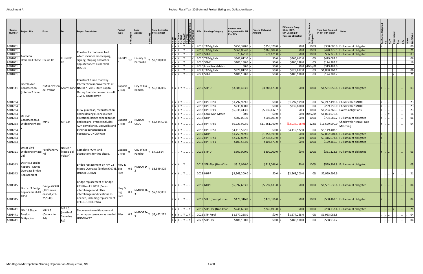| Control<br><b>Number</b> | <b>Project Title</b>                            | From                                                     |                                        | <b>Project Description</b>                                                                                                                               | Project<br><b>Type</b>         | Lead<br>Agency              | <b>Total Estimated</b><br><b>Project Cost</b> |                                                                    |                                             |  | <b>FFY</b> Funding Category | <b>Federal Amt</b><br><b>Programmed in TIF</b><br><b>End FFY</b> | <b>Federal Obligated</b><br>Amount | Difference Prog -<br>Oblig KEY:<br>\$1= unoblig (\$1)<br>=excess obligation |                | <b>Total Amt Prog'md</b><br>in TIP with Match | <b>Notes</b>                                                          |       |           |  |               |
|--------------------------|-------------------------------------------------|----------------------------------------------------------|----------------------------------------|----------------------------------------------------------------------------------------------------------------------------------------------------------|--------------------------------|-----------------------------|-----------------------------------------------|--------------------------------------------------------------------|---------------------------------------------|--|-----------------------------|------------------------------------------------------------------|------------------------------------|-----------------------------------------------------------------------------|----------------|-----------------------------------------------|-----------------------------------------------------------------------|-------|-----------|--|---------------|
| A301031                  |                                                 |                                                          |                                        |                                                                                                                                                          |                                |                             |                                               | Y[Y Y  Y ]                                                         |                                             |  | 2018 TAP-Lg Urb             | \$256,320.0                                                      | \$256,320.0                        | \$0.0                                                                       | 100%           |                                               | \$300,000.0 Full amount obligated                                     |       |           |  |               |
| A301031                  |                                                 |                                                          |                                        | Construct a multi-use trail                                                                                                                              |                                |                             |                                               | Y  Y  Y    Y                                                       |                                             |  | $2019$ TAP-Lg Urb           | \$366,004.0                                                      | \$366,004.0                        | \$0.0\$                                                                     | 100%           |                                               | \$428,375.5   Full amount obligated                                   |       |           |  |               |
| A301031                  | Alameda                                         |                                                          |                                        | which includes landscaping                                                                                                                               |                                |                             |                                               |                                                                    | Y  Y  Y    Y      Y                         |  | $2019$ STL-E                | \$73,671.0                                                       | \$73,671.0                         | \$0.0\$                                                                     | 100%           |                                               | \$86,225.4 Full amount obligated                                      |       |           |  | 103           |
| A301031                  | DrainTrail Phase  Osuna Rd                      |                                                          | El Pueblo                              | signing, striping and other                                                                                                                              | $ Bike/Pe _{1.8} ^{\circ}$     | County of                   | \$2,900,000                                   |                                                                    | $Y Y Y $ $Y $ $ N $                         |  | 2020 TAP-Lg Urb             | \$366,612.0                                                      | \$0.0                              | \$366,612.0                                                                 | 0%             | \$429,087.1                                   |                                                                       |       |           |  | 06            |
| A301031                  |                                                 |                                                          | Rd                                     | appurtenances as needed.                                                                                                                                 |                                | Bernalillo                  |                                               | $ Y Y Y $ $ Y $                                                    |                                             |  | 2020 STL-E                  | \$106,188.0                                                      | \$0.0                              | \$106,188.0                                                                 | 0%             | \$124,283.7                                   |                                                                       |       |           |  | <sup>16</sup> |
| A301031                  |                                                 |                                                          |                                        | DESIGN                                                                                                                                                   |                                |                             |                                               | Y   Y   Y      Y                                                   |                                             |  | 2020 Local Non-Match        | \$0.0                                                            | \$0.0                              |                                                                             | $$0.0$ #DIV/0! | \$319,482.0                                   |                                                                       |       |           |  |               |
| A301031                  |                                                 |                                                          |                                        |                                                                                                                                                          |                                |                             |                                               |                                                                    | $Y Y Y $ $Y $ $Y$                           |  | 2021 TAP-Lg Urb             | \$929,812.0                                                      | \$0.0<br>\$0.0                     | \$929,812.0                                                                 | 0%             | \$1,088,263.1                                 |                                                                       |       |           |  | 06<br> 21     |
| A301031<br>A301141       | Lincoln Ave<br>Construction<br>(Interim 2 Lane) | NM347 Paseo<br>del Volcan                                |                                        | Construct 2 lane roadway.<br>Intersection improvements at<br>Adams Lane NM 347. 2016 State Capital<br>Outlay funds to be used as soft<br>match. UNDERWAY | Capacit<br>/ Proj              | Rancho                      | $ City\ of\ Rio _Y $ \$5,116,056              |                                                                    | $Y Y Y $ $Y $ $ Y $<br>Y  Y  Y  Y  Y      . |  | 2021 STL-E<br>$2019$ STP-U  | \$106,188.0<br>\$3,888,423.0                                     | \$3,888,423.0                      | \$106,188.0<br>\$0.0\$                                                      | 0%<br>100%     | \$124,283.7                                   | \$4,551,056.8   Full amount obligated                                 |       |           |  |               |
| A301234                  |                                                 |                                                          |                                        |                                                                                                                                                          |                                |                             |                                               | Y Y Y Y    .                                                       |                                             |  | 2018 HPP RPS9               | \$1,797,999.0                                                    | \$0.0                              | \$1,797,999.0                                                               | 0%             |                                               | \$2,247,498.8 Check with NMDOT                                        | IY  I |           |  | 23            |
| A301234                  |                                                 |                                                          |                                        |                                                                                                                                                          |                                |                             |                                               | Y Y Y Y                                                            |                                             |  | 2018 HPP RPS9               | \$239,800.0                                                      | \$0.0\$                            | \$239,800.0                                                                 | 0%             |                                               | \$299,750.0 Check with NMDOT                                          |       |           |  |               |
| A301234                  |                                                 |                                                          |                                        | ROW purchase, reconstruction                                                                                                                             |                                |                             |                                               | YYYY                                                               |                                             |  | 2018 HPP RPF9               | \$5,035,413.0                                                    | \$5,035,412.7                      | \$0.3\$                                                                     | 100%           |                                               | $$6,294,266.3$ Excess obligations                                     |       |           |  |               |
| A301234                  | US 550                                          |                                                          |                                        | and widening (1 lane in each                                                                                                                             |                                |                             |                                               | Y Y Y Y I.                                                         |                                             |  | 2018 Local Non-Match        | \$0.0                                                            | \$0.0                              | \$0.0                                                                       | #DIV/0!        | \$1,023,976.8                                 |                                                                       |       | <b>IY</b> |  | <b>16</b>     |
| A301234<br>A301234       | Construction &<br><b>Widening Phase</b>         | MP.6                                                     | MP 3.0                                 | direction), bridge rehabilitation<br>and repairs. Project includes<br>ADA compliance, Sidewalks and                                                      | $ Capacit _{2.4} ^{p}$<br>Proj | <b>NMDOT</b><br><b>CRDC</b> | \$32,847,915                                  | Y Y Y Y .<br>YYYY                                                  |                                             |  | 2018 NHPP<br>2018 HPP RPS9  | \$602,001.0<br>\$9,223,992.0                                     | \$602,001.0<br>\$11,261,790.9      | \$0.0<br>( \$2,037,798.9)                                                   | 100%<br>122%   | \$11,529,990.0                                | \$704,589.2 Full amount obligated<br>Check with NMDOT Not<br>Matching |       |           |  | 06            |
| A301234                  |                                                 |                                                          |                                        | other appurtenances as                                                                                                                                   |                                |                             |                                               | $ {\mathsf Y}\, {\mathsf Y}\, {\mathsf Y}\, {\mathsf Y}\, \, \,  $ |                                             |  | 2018 HPP RPS1               | \$4,119,522.0                                                    | \$0.0\$                            | \$4,119,522.0                                                               | 0%             | \$5,149,402.5                                 |                                                                       |       |           |  |               |
| A301234                  |                                                 |                                                          |                                        | necessary. UNDERWAY                                                                                                                                      |                                |                             |                                               | Y Y Y Y    .                                                       |                                             |  | $2019$ NHPP                 | \$1,753,999.0                                                    | \$1,753,999.0                      | \$0.0\$                                                                     | 100%           |                                               | \$2,052,901.4 Full amount obligated                                   |       |           |  |               |
| A301234                  |                                                 |                                                          |                                        |                                                                                                                                                          |                                |                             |                                               | Y Y Y Y .                                                          |                                             |  | $2019$ HPP RPS1             | \$2,732,859.0                                                    | \$2,732,859.0                      | \$0.0\$                                                                     | 100%           |                                               | \$3,416,073.8 Full amount obligated                                   | IY.   |           |  |               |
| A301234                  |                                                 |                                                          |                                        |                                                                                                                                                          |                                |                             |                                               | Y Y Y Y I                                                          |                                             |  | $2019$ HPP RPF1             | \$103,573.0                                                      | \$103,573.0                        | \$0.0                                                                       | 100%           |                                               | \$129,466.3 Full amount obligated                                     |       |           |  |               |
| A301321                  | Unser Blvd<br><b>Widening (Phase</b><br>2B)     | Farol/Cherry                                             | <b>NM 347</b><br>(Paseo del<br>Volcan) | Complete ROW land<br>acquisitions for this phase.                                                                                                        | Capacit<br>y Proj              | City of Rio<br>Rancho       | Y \$416,524                                   |                                                                    |                                             |  | $2019$ STP-U                | \$300,000.0                                                      | \$300,000.0                        | \$0.0                                                                       | 100%           |                                               | \$351,123.6   Full amount obligated                                   |       |           |  |               |
| A301343                  | District 3 Bridge<br>Repairs - Mateo            |                                                          |                                        | Bridge replacement on NM 22<br>Mateo Overpass (Bridge #7079). Brg                                                                                        | Hwy &                          | NMDOT D-<br>0.6             | Y \$3,599,305                                 | Y   Y   Y      Y                                                   |                                             |  | 2019 STP-Flex (Non-Char     | \$512,046.0                                                      | \$512,046.0                        | \$0.0                                                                       | 100%           |                                               | \$599,304.8   Full amount obligated                                   |       |           |  | ١n            |
|                          | <b>Overpass Bridge</b><br>A301343 $Replacement$ |                                                          |                                        | UNDER DESIGN                                                                                                                                             | Pres                           |                             |                                               | Y  Y  Y    Y                                                       |                                             |  | 2023 NHPP                   | \$2,563,200.0                                                    | \$0.0                              | \$2,563,200.0                                                               | 0%             | \$2,999,999.9                                 |                                                                       |       |           |  |               |
| A301345                  | District 3 Bridge<br>Replacement-FR             | Bridge #7398<br>$(18.1 \text{ miles})$<br>east of jct I- |                                        | Bridge replacement of bridge<br>#7398 on FR 4058 (Zuzax<br>interchange) and other<br>interchange modifications as                                        | Hwy &<br><b>Brg</b>            | 0.1                         | $ NMDOT D^{-} $ $\gamma$ $ $ \$7,102,001      | $ Y Y Y $ $ Y $ $  $                                               |                                             |  | $2019$ NHPP                 | \$5,597,633.0                                                    | \$5,597,633.0                      | \$0.0\$                                                                     | 100%           |                                               | \$6,551,536.6 Full amount obligated                                   |       |           |  | 04            |
| A301345                  | 4058                                            | $25/1-40$                                                |                                        | needed, including replacement<br>of CBC. UNDERWAY                                                                                                        | Pres                           |                             |                                               | $ Y Y Y $ $ Y $                                                    |                                             |  | 2019 STFE (Exempt from      | \$470,316.0                                                      | $$470,316.0$ =                     | \$0.0\$                                                                     | 100%           |                                               | \$550,463.5   Full amount obligated                                   |       |           |  | 04            |
| A301441                  | NM 14 Slope                                     | MP 3.5                                                   | MP 4.2                                 | Slope erosion miitigation and                                                                                                                            |                                |                             |                                               | $ \mathsf{Y} \mathsf{Y} \mathsf{Y} $ $ \mathsf{Y} $ .              |                                             |  | 2019 STP-Flex (Non-Char     | \$246,693.0                                                      | \$246,693.0                        | \$0.0\$                                                                     | 100%           |                                               | \$288,732.4 Full amount obligated                                     |       |           |  |               |
| A301441 Erosion          |                                                 | (Canoncito                                               | (north of<br>Snowline                  | other appurtenances as needed. Misc                                                                                                                      |                                | 0.7                         | $ NMDOTD^{-} $ Y $ S3,462,222$                | $ {\mathsf Y} {\mathsf Y} {\mathsf Y}  {\mathsf Y}  {\mathsf Y} $  |                                             |  | 2022 STP-Rural              | \$1,677,258.0                                                    | \$0.0\$                            | \$1,677,258.0                                                               | 0%             | \$1,963,082.8                                 |                                                                       |       |           |  |               |
| A301441                  | Mitigation                                      | Rd)                                                      | Rd)                                    | UNDERWAY                                                                                                                                                 |                                |                             |                                               | $ Y Y Y $ $ Y $                                                    |                                             |  | 2022 STP-Flex               | \$486,100.0                                                      | \$0.0                              | \$486,100.0                                                                 | 0%             | \$568,937.2                                   |                                                                       |       |           |  | 04            |
|                          |                                                 |                                                          |                                        |                                                                                                                                                          |                                |                             |                                               |                                                                    |                                             |  |                             |                                                                  |                                    |                                                                             |                |                                               |                                                                       |       |           |  |               |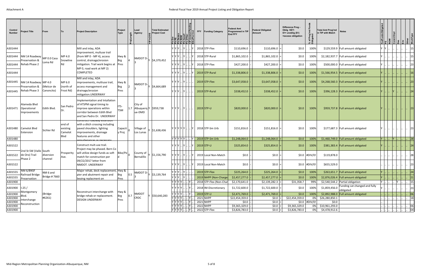| Control<br><b>Number</b> | Project Title                                      | From                     | Т٥                                    | Project Description                                                                                                                                   | Project<br>Type                                         | Lead<br>Agency                             | <b>Total Estimated</b><br><b>Project Cost</b> |                                  | 빏릧뉢뒵뒮 |      | <b>FFY</b><br><b>Funding Category</b> | Federal Amt<br>Programmed in TIF<br>End FFY | <b>Federal Obligated</b><br>Amount | Difference Prog -<br>Oblig KEY:<br>\$1= unoblig (\$1)<br>=excess obligation | `চ ≣           | <b>Total Amt Prog'md</b><br><b>Notes</b><br>in TIP with Match |       | $\overline{R}$ |              |
|--------------------------|----------------------------------------------------|--------------------------|---------------------------------------|-------------------------------------------------------------------------------------------------------------------------------------------------------|---------------------------------------------------------|--------------------------------------------|-----------------------------------------------|----------------------------------|-------|------|---------------------------------------|---------------------------------------------|------------------------------------|-----------------------------------------------------------------------------|----------------|---------------------------------------------------------------|-------|----------------|--------------|
| A301444                  |                                                    |                          |                                       | Mill and inlay, ADA                                                                                                                                   |                                                         |                                            |                                               | 7 Y Y HY                         |       |      | 2018 STP-Flex                         | \$110,696.0                                 | \$110,696.0                        | \$0.0\$                                                                     | 100%           | \$129,559.9 Full amount obligated                             | $ Y $ |                |              |
| A301444                  | $ NM 14$ Roadway $ MP 0.0$ Casa                    |                          | MP 4.0                                | improvement, multuse trail<br>(from MP 0 - MP 4), access                                                                                              | Hwy &                                                   | NMDOT $D$ -                                |                                               | $ Y Y $ $ Y $ .                  |       |      | 2018 STP-Rural                        | \$1,865,102.0                               | \$1,865,102.0                      | \$0.0\$                                                                     | 100%           | \$2,182,937.7 Full amount obligated                           |       |                |              |
| A301444                  | reservation &<br>Rehab Phase 2                     | Loma Rd                  | Snowline<br>Rd                        | control, drainage/erosion<br>mitigation. Trail work begins at                                                                                         | Brg<br>Pres                                             |                                            | Y \$4,379,452                                 | 7 I Y I Y I  I Y I               |       |      | 2018 STP-Flex                         | \$427,200.0                                 | \$427,200.0                        | \$0.0                                                                       | 100%           | \$500,000.0 Full amount obligated                             |       |                |              |
| A301444                  |                                                    |                          |                                       | MP 0, road work at MP 2)<br>COMPLETED                                                                                                                 |                                                         |                                            |                                               | ' IY IY I IY I                   |       |      | 2019 STP-Rural                        | \$1,338,806.0                               | \$1,338,806.0                      | \$0.0\$                                                                     | 100%           | \$1,566,954.5   Full amount obligated                         |       |                |              |
| A301445                  | NM 14 Roadway MP 4.0                               |                          | MP 6.0                                | Mill and inlay, ADA<br>improvements, multiuse trail,                                                                                                  | Hwy &                                                   | NMDOT D-                                   |                                               | 7 Y Y L Y                        |       |      | $2019$ STP-Flex                       | \$3,647,058.0                               | \$3,647,058.0                      | \$0.0\$                                                                     | 100%           | $$4,268,560.3$ Full amount obligated                          |       |                |              |
| A301445                  | reservation &<br>Rehab Phase 3                     | (Melcor de<br>Canoncito) | (north of<br>Frost Rd)                | access management and<br>drainage/erosion<br>mitigation.UNDERWAY                                                                                      | Brg<br>Pres                                             |                                            | Y \$4,664,689                                 | Y   Y   Y      Y                 |       |      | 2019 STP-Rural                        | \$338,452.0                                 | \$338,452.0                        | \$0.0\$                                                                     | 100%           | \$396,128.3   Full amount obligated                           |       |                |              |
| A301471                  | Alameda Blvd<br>Operational<br><b>Improvements</b> | Edith Blvd.              | San Pedro<br>Dr.                      | Implementation and Intallation<br>of ATSPM signal timing to<br>improve operations within<br>corridor between Edith Blvd<br>and San Pedro Dr. UNDERWAY | ITS-<br>1.7<br><b>TSM</b>                               | City of<br>Albuquerq Y \$959,738<br>ue-DMD |                                               | $ Y Y $ $ Y $ $  $               |       |      | $2019$ STP-U                          | \$820,000.0                                 | \$820,000.0                        | \$0.0                                                                       | 100%           | \$959,737.8   Full amount obligated                           |       |                |              |
| A301480                  | <b>Camelot Blvd</b><br>Extension                   | Sichler Rd               | end of<br>existing<br>Camelot<br>Blvd | Construct Toauway extension<br>with a ditch crossing including<br>paved shoulders, lighting<br>improvements, drainage<br>features and other           | Capacit<br>y Proj                                       | Village of<br>Los Lunas                    | \$1,638,436                                   | '  Y  Y  Y  Y      Y             |       |      | 2018 STP-Sm Urb                       | \$151,816.0                                 | \$151,816.0                        | \$0.0                                                                       | 100%           | \$177,687.3 Full amount obligated                             |       |                | 23           |
| A301480                  |                                                    |                          |                                       | nnurtanancas as nacassam                                                                                                                              |                                                         |                                            |                                               | <sup> </sup> Υ  Υ  Υ  Υ          |       | . IY | $\frac{2019}{STP-Sm}$ Urb             | \$1,248,064.0                               | \$1,248,064.0                      | \$0.0                                                                       | 100%           | \$1,460,749.0   Full amount obligated                         |       | Y              | 28           |
| A301522                  |                                                    |                          |                                       | Construct mult-use trail<br>Project may be phased. Bern Co                                                                                            |                                                         |                                            |                                               | 7   Y   Y      Y         Y       |       |      | $2019$ STP-U                          | \$325,854.0                                 | \$325,854.0                        | \$0.0\$                                                                     | 100%           | \$381,383.4 Full amount obligated                             |       |                |              |
| A301522                  | 2nd St SW (Valle South<br>de Oro) Trail<br>Phase 2 | diversion<br>channel     | Prosperity<br>Ave.                    | will utilize design funds as soft<br>match for construction per                                                                                       | Bike/Pe                                                 | County of<br>Bernalillo                    | \$1,156,790                                   | ' IY IY I IY I                   |       |      | 2019 Local Non-Match                  | \$0.0                                       | \$0.0                              |                                                                             | $$0.0$ #DIV/0! | \$119,878.0                                                   |       |                | 28           |
| A301522                  |                                                    |                          |                                       | 09/22/2017 letter from<br>NMDOT. UNDERWAY                                                                                                             |                                                         |                                            |                                               |                                  |       |      | 2019 Local Non-Match                  | \$0.0                                       | \$0.0\$                            |                                                                             | $$0.0$ #DIV/0! | \$655,529.0                                                   |       |                |              |
| A301555                  | NM 6/BNSF                                          | NM 6 and                 |                                       | Major rehab, deck replacement, Hwy &                                                                                                                  |                                                         | NMDOT D-                                   |                                               | $YY Y $ .                        |       |      | $2019$ STP-Flex                       | \$225,264.0                                 | $$225,264.0$ =                     | \$0.0                                                                       | 100%           | \$263,651.7 Full amount obligated                             |       |                | 24           |
|                          | -Railroad Bridge<br>A301555 Preservation           | Bridge #7660             |                                       | pier and abutment repair and<br>beaing replacment on                                                                                                  | Brg<br>$\begin{bmatrix} 0.5 \\ 3 \end{bmatrix}$<br>Pres |                                            | Y \$3,139,764                                 | Y Y Y  Y                         |       |      | 2019 NHPP (Non-Charge                 | \$2,457,277.0                               | $ 2,457,277.0 $ =                  | \$0.0\$                                                                     | 100%           | \$2,876,026.4 Full amount obligated                           |       |                | 21           |
| A301900                  |                                                    |                          |                                       |                                                                                                                                                       |                                                         |                                            |                                               | Y Y Y Y   Y .                    |       |      | 2018 STP-Flex (Non-Char               | \$2,170,641.0                               | $$2,139,282.3$ =                   | \$31,358.7                                                                  | 99%            | \$2,540,544.2 Partial obligation                              |       |                | $\  . \  15$ |
| A301900   I-25 /         | Montgomery                                         |                          |                                       | Reconstruct interchange with                                                                                                                          | Hwy &                                                   |                                            |                                               | Y IY IY IY I I                   |       |      | 2018 IM-Discretionary                 | \$1,722,600.0                               | \$1,722,600.0                      | \$0.0                                                                       | 100%           | Funding cat changed and fully<br>\$1,859,456.0<br>obligated   |       |                | 23           |
| A301900                  | Blvd.                                              | (Bridge                  |                                       | bridge rehab or replacement.                                                                                                                          | 0.7<br>Brg                                              | NMDOT                                      | Y \$50,640,283                                | $Y Y Y Y$ .                      |       |      | $2019$ STP-U                          | \$2,471,769.0                               | \$2,471,769.0                      | \$0.0\$                                                                     | 100%           | \$2,892,988.0 Full amount obligated                           |       |                | 06           |
| A301900                  | Interchange                                        | #6261)                   |                                       | <b>DESIGN UNDERWAY</b>                                                                                                                                | Pres                                                    | CRDC                                       |                                               | Y Y Y Y                          |       |      | 2021 NHPP                             | \$22,454,359.0                              | \$0.0                              | \$22,454,359.0                                                              | 0%             | \$26,280,850.1                                                |       |                | <b>18</b>    |
| A301900<br>A301900       | Reconstruction                                     |                          |                                       |                                                                                                                                                       |                                                         |                                            |                                               | Y  Y  Y  Y      Y<br>Y Y Y Y   Y |       |      | 2021 NHPP<br>2022 NHPP                | \$0.0<br>\$9,365,329.0                      | \$0.0<br>\$0.0                     | \$9,365,329.0                                                               | \$0.0 #DIV/0!  | \$0.0\$<br>0% \$10,961,293.0                                  |       |                | 06           |
| A301900                  |                                                    |                          |                                       |                                                                                                                                                       |                                                         |                                            |                                               | Y Y Y Y   Y                      |       |      | $2022$ STP-Flex                       | \$3,826,783.0                               | \$0.0\$                            | \$3,826,783.0                                                               |                | 0% \$4,478,912.6                                              |       |                | 04           |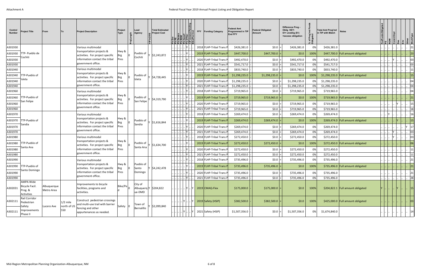| Control<br>Number | <b>Project Title</b>                                              | From                      | Тο                        | <b>Project Description</b>                                         | Project<br><b>Type</b> | Lead<br>Agency     | <b>Total Estimated</b><br><b>Project Cost</b> |           |         |      | FFY Funding Category     | Federal Amt<br>Programmed in TIF<br><b>End FFY</b> | <b>Federal Obligated</b><br>Amount | Difference Prog -<br>Oblig KEY:<br>\$1= unoblig (\$1)<br>=excess obligation | ā.   | <b>Total Amt Prog'md</b><br>in TIP with Match | <b>Notes</b>                          |  |  |    |
|-------------------|-------------------------------------------------------------------|---------------------------|---------------------------|--------------------------------------------------------------------|------------------------|--------------------|-----------------------------------------------|-----------|---------|------|--------------------------|----------------------------------------------------|------------------------------------|-----------------------------------------------------------------------------|------|-----------------------------------------------|---------------------------------------|--|--|----|
| A301930           |                                                                   |                           |                           | Various multimodal                                                 |                        |                    |                                               |           |         |      | 2018 FLHP-Tribal Trans I | \$426,381.0                                        | \$0.0                              | \$426,381.0                                                                 | 0%   | \$426,381.0                                   |                                       |  |  |    |
| A301930           | TTP- Pueblo de                                                    |                           |                           | transportation projects &<br>activities. For project specific      | Hwy &<br>Brg           |                    | Pueblo of $ y $ \$2,243,872                   |           |         |      | 2019 FLHP-Tribal Trans   | \$447,700.0                                        | \$447,700.0                        | \$0.0                                                                       | 100% |                                               | \$447,700.0   Full amount obligated   |  |  |    |
| A301930           | Cochiti                                                           |                           |                           | information contact the tribal                                     | Pres                   | Cochiti            |                                               |           |         |      | 2020 FLHP-Tribal Trans I | \$492,470.0                                        | \$0.0                              | \$492,470.0                                                                 | 0%   | \$492,470.0                                   |                                       |  |  |    |
| A301930           |                                                                   |                           |                           | government office.                                                 |                        |                    |                                               |           |         |      | 2021 FLHP-Tribal Trans   | \$541,717.0                                        | \$0.0\$                            | \$541,717.0                                                                 | 0%   | \$541,717.0                                   |                                       |  |  |    |
| A301940           |                                                                   |                           |                           | Various multimodal                                                 |                        |                    |                                               |           |         |      | 2018 FLHP-Tribal Trans F | \$833,740.0                                        | \$0.0                              | \$833,740.0                                                                 | 0%   | \$833,740.0                                   |                                       |  |  |    |
| A301940           | TTP-Pueblo of                                                     |                           |                           | transportation projects &<br>activities. For project specific      | Hwy &                  |                    | Pueblo of $ y $ \$4,728,445                   |           |         |      | 2019 FLHP-Tribal Trans F | \$1,298,235.0                                      | \$1,298,235.0                      | \$0.0\$                                                                     | 100% |                                               | \$1,298,235.0   Full amount obligated |  |  |    |
| A301940           | sleta                                                             |                           |                           | nformation contact the tribal                                      | Pres                   | Isleta             |                                               |           |         |      | 2020 FLHP-Tribal Trans I | \$1,298,235.0                                      | \$0.0                              | \$1,298,235.0                                                               | 0%   | \$1,298,235.0                                 |                                       |  |  |    |
| A301940           |                                                                   |                           |                           | government office.                                                 |                        |                    |                                               |           |         |      | 2021 FLHP-Tribal Trans P | \$1,298,235.0                                      | \$0.0                              | \$1,298,235.0                                                               | 0%   | \$1,298,235.0                                 |                                       |  |  |    |
| A301960           |                                                                   |                           |                           | Various multimodal                                                 |                        |                    |                                               |           |         |      | 2018 FLHP-Tribal Trans F | \$719,965.0                                        | \$0.0\$                            | \$719,965.0                                                                 | 0%   | \$719,965.0                                   |                                       |  |  |    |
| A301960           | TTP-Pueblo of                                                     |                           |                           | transportation projects &<br>activities. For project specific      | Hwy &<br>Brg           | Pueblo of          | \$4,319,790                                   |           |         |      | 2019 FLHP-Tribal Trans   | \$719,965.0                                        | \$719,965.0                        | \$0.0\$                                                                     | 100% |                                               | \$719,965.0 Full amount obligated     |  |  |    |
| A301960           | San Felipe                                                        |                           |                           | information contact the tribal                                     | Pres                   | San Felipe         |                                               |           |         |      | 2020 FLHP-Tribal Trans   | \$719,965.0                                        | \$0.0                              | \$719,965.0                                                                 | 0%   | \$719,965.0                                   |                                       |  |  |    |
| A301960           |                                                                   |                           |                           | government office.                                                 |                        |                    |                                               |           |         |      | 2021 FLHP-Tribal Trans F | \$719,965.0                                        | \$0.0                              | \$719,965.0                                                                 | 0%   | \$719,965.0                                   |                                       |  |  |    |
| A301970           |                                                                   |                           |                           | Various multimodal                                                 |                        |                    |                                               |           |         |      | 2018 FLHP-Tribal Trans I | \$269,474.0                                        | \$0.0\$                            | \$269,474.0                                                                 | 0%   | \$269,474.0                                   |                                       |  |  |    |
| A301970           | TTP-Pueblo of                                                     |                           |                           | transportation projects &<br>activities. For project specific      | Hwy &<br>Brg           | Pueblo of          | Y \$1,616,844                                 |           |         |      | 2019 FLHP-Tribal Trans F | \$269,474.0                                        | \$269,474.0                        | \$0.0\$                                                                     | 100% |                                               | \$269,474.0 Full amount obligated     |  |  |    |
| A301970           | Sandia                                                            |                           |                           | information contact the tribal                                     | Pres                   | Sandia             |                                               |           |         |      | 2020 FLHP-Tribal Trans   | \$269,474.0                                        | \$0.0\$                            | \$269,474.0                                                                 | 0%   | \$269,474.0                                   |                                       |  |  |    |
| A301970           |                                                                   |                           |                           | government office.                                                 |                        |                    |                                               |           |         |      | 2021 FLHP-Tribal Trans F | \$269,474.0                                        | \$0.0                              | \$269,474.0                                                                 | 0%   | \$269,474.0                                   |                                       |  |  |    |
| A301980           |                                                                   |                           |                           | Various multimodal                                                 |                        |                    |                                               |           |         |      | 2018 FLHP-Tribal Trans F | \$272,450.0                                        | \$0.0                              | \$272,450.0                                                                 | 0%   | \$272,450.0                                   |                                       |  |  |    |
| A301980           | TTP-Pueblo of                                                     |                           |                           | transportation projects &<br>activities. For project specific      | Hwy &<br>Brg           | Pueblo of          | \$1,634,700                                   |           |         |      | 2019 FLHP-Tribal Trans   | \$272,450.0                                        | \$272,450.0                        | \$0.0\$                                                                     | 100% |                                               | \$272,450.0   Full amount obligated   |  |  |    |
| A301980           | Santa Ana                                                         |                           |                           | information contact the tribal                                     | Pres                   | Santa Ana          |                                               |           |         |      | 2020 FLHP-Tribal Trans   | \$272,450.0                                        | \$0.0                              | \$272,450.0                                                                 | 0%   | \$272,450.0                                   |                                       |  |  |    |
| A301980           |                                                                   |                           |                           | government office.                                                 |                        |                    |                                               |           |         |      | 2021 FLHP-Tribal Trans I | \$272,450.0                                        | \$0.0                              | \$272,450.0                                                                 | 0%   | \$272,450.0                                   |                                       |  |  |    |
| A301990           |                                                                   |                           |                           | Various multimodal                                                 |                        |                    |                                               |           |         |      | 2018 FLHP-Tribal Trans I | \$735,496.0                                        | \$0.0\$                            | \$735,496.0                                                                 | 0%   | \$735,496.0                                   |                                       |  |  |    |
| A301990           | <b>TTP-Pueblo of</b>                                              |                           |                           | transportation projects &<br>activities. For project specific      | Hwy &                  | Pueblo of<br>Santo | \$4,242,478                                   |           |         |      | 2019 FLHP-Tribal Trans   | \$735,496.0                                        | \$735,496.0                        | \$0.0\$                                                                     | 100% |                                               | \$735,496.0 Full amount obligated     |  |  |    |
| A301990           | Santo Domingo                                                     |                           |                           | information contact the tribal                                     | Pres                   | Domingo            |                                               |           |         |      | 2020 FLHP-Tribal Trans F | \$735,496.0                                        | \$0.0                              | \$735,496.0                                                                 | 0%   | \$735,496.0                                   |                                       |  |  |    |
| A301990           |                                                                   |                           |                           | government office.                                                 |                        |                    |                                               | $     N $ |         |      | 2021 FLHP-Tribal Trans P | \$735,496.0                                        | \$0.0                              | \$735,496.0                                                                 | 0%   | \$735,496.0                                   |                                       |  |  | 28 |
| A302031           | <b>AMPA Wide</b><br><b>Bicycle Facil</b><br>Prog. &<br>Activities | Albuquerque<br>Metro Area |                           | Improvements to bicycle<br>facilities, programs and<br>activities. | $ Bike/Pe _0$          | City of<br>ue-DMD  | Albuquerq $Y$ \$204,822                       |           | . IY I. | . IV | $2019$ CMAQ-Flex         | \$175,000.0                                        | \$175,000.0                        | \$0.0\$                                                                     | 100% |                                               | \$204,822.1 Full amount obligated     |  |  | 15 |
| A302111           | Rail Corridor<br>Pedestrian<br>Safety                             | Lucero Ave                | $1/2$ mile<br>north of US | Construct pedestrian crossings<br>and multi-use trail with barrier | Safety $ 0 $           | Town of            | \$2,099,840                                   |           |         |      | 2019 Safety (HSIP)       | \$382,500.0                                        | \$382,500.0                        | \$0.0\$                                                                     | 100% |                                               | \$425,000.0 Full amount obligated     |  |  | 03 |
| A302111           | Improvements<br>Phase II                                          |                           | 550                       | fencing and other<br>appurtenances as needed.                      |                        | Bernalillo         |                                               |           |         |      | 2021 Safety (HSIP)       | \$1,507,356.0                                      | 50.0                               | \$1,507,356.0                                                               | 0%   | \$1,674,840.0                                 |                                       |  |  | 14 |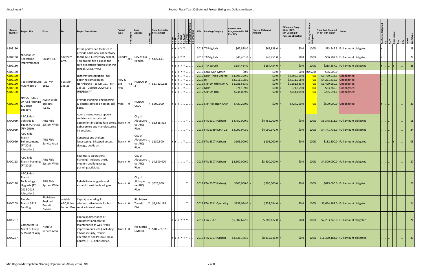| Control<br><b>Number</b> | Project Title                                                                | From                                                |                      | Project Description                                                                                                                   | Project<br>Type        | Lead<br>Agency                         | <b>Total Estimated</b><br><b>Project Cost</b>                                        |                                                                                                                                        |                                                             | <b>FFY</b><br><b>Funding Category</b> | Federal Amt<br><b>Programmed in TIF</b><br>End FFY | <b>Federal Obligated</b><br>Amount | Difference Prog -<br>Oblig KEY:<br>\$1= unoblig (\$1)<br>=excess obligation | ՟<br>$5 \equiv$ | <b>Total Amt Prog'md</b><br>in TIP with Match | <b>Notes</b>                          |  |  |    |
|--------------------------|------------------------------------------------------------------------------|-----------------------------------------------------|----------------------|---------------------------------------------------------------------------------------------------------------------------------------|------------------------|----------------------------------------|--------------------------------------------------------------------------------------|----------------------------------------------------------------------------------------------------------------------------------------|-------------------------------------------------------------|---------------------------------------|----------------------------------------------------|------------------------------------|-----------------------------------------------------------------------------|-----------------|-----------------------------------------------|---------------------------------------|--|--|----|
| A302130                  |                                                                              |                                                     |                      | Install pedestrian facilities to                                                                                                      |                        |                                        |                                                                                      | 7 Y Y Y Y IY                                                                                                                           |                                                             | 2018 TAP-Lg Urb                       | \$62,838.0                                         | \$62,838.0                         | \$0.0                                                                       | 100%            |                                               | \$73,546.3 Full amount obligated      |  |  |    |
| A302130                  | Nicklaus Dr<br>Pedestrian                                                    | Chianti Rd.                                         | Southern             | provide additional connectivity<br>to the MLK Elementary school.<br>This project fills a gap in the                                   | $ Bike/Pe _{0.6} ^{1}$ | City of Rio<br>Rancho                  | \$422,641                                                                            | 7 Y Y Y IY I                                                                                                                           |                                                             | 2018 TAP-Lg Urb                       | \$48,451.0                                         | \$48,451.0                         | \$0.0                                                                       | 100%            |                                               | \$56,707.6 Full amount obligated      |  |  |    |
| A302130                  | Improvements                                                                 |                                                     | Blvd.                | safe pedestrian facilities for this<br>school. UNDERWAY                                                                               |                        |                                        |                                                                                      | 7 I Y I Y I Y I .                                                                                                                      |                                                             | $2019$ TAP-Lg Urb                     | \$184,454.0                                        | \$184,454.0                        | \$0.0\$                                                                     | 100%            |                                               | \$215,887.2   Full amount obligated   |  |  | 28 |
| A302130                  |                                                                              |                                                     |                      |                                                                                                                                       |                        |                                        |                                                                                      | Y Y Y Y Y                                                                                                                              |                                                             | 2019 Local Non-Match                  | \$0.0                                              | $$0.0$  =                          |                                                                             | $$0.0$ #DIV/0!  | \$76,500.0                                    |                                       |  |  |    |
| A302160                  |                                                                              |                                                     |                      | Highway preservation - full                                                                                                           |                        |                                        |                                                                                      | $\overline{Y}$ $\overline{Y}$ $\overline{Y}$ $\overline{Y}$ $\overline{Y}$ $\overline{Y}$ $\overline{Y}$ $\overline{Y}$ $\overline{Y}$ |                                                             | 2019 NHPP (Non-Charge                 | \$4,895,399.0                                      | \$0.0                              | \$4,895,399.0                                                               | $  0\%  $       | \$5,729,633.5 Unobligated                     |                                       |  |  |    |
| A302160                  | -25 Northbound I-25 MP                                                       |                                                     | I-25 MP              | depth reclamation on                                                                                                                  | Hwy &                  |                                        |                                                                                      |                                                                                                                                        | $\mathbb{R}$   Y $\mathbb{R}$   $\mathbb{R}$   $\mathbb{R}$ | $2019$ IM                             | \$3,911,108.0                                      | \$0.0                              | \$3,911,108.0                                                               | $ 0\% $         | $$4,221,835.1$ Unobligated                    |                                       |  |  |    |
| A302160                  | FDR Phase 1                                                                  | 191.0                                               | 195.25               | Northbound I-25 MP 191 - MP                                                                                                           | 4.3<br>Brg             | NMDOT D-                               | Y \$11,820,328                                                                       |                                                                                                                                        |                                                             | 2019 STP-Sm Urb (Non-C                | \$1,281,583.0                                      | \$0.0                              | \$1,281,583.0                                                               | $ 0\% $         | $$1,499,980.1$ Unobligated                    |                                       |  |  |    |
| A302160                  |                                                                              |                                                     |                      | 195.25. DESIGN COMPLETE                                                                                                               | Pres                   |                                        |                                                                                      | YYY                                                                                                                                    | IY                                                          | $2019$ NHPP                           | \$71,159.0                                         | \$0.0                              | \$71,159.0                                                                  | $ 0\% $         |                                               | $$83,285.3$ Unobligated               |  |  |    |
| A302160                  |                                                                              |                                                     |                      | UNDERWAY                                                                                                                              |                        |                                        |                                                                                      | Y Y Y L. Y                                                                                                                             |                                                             | $2019$ STP-Sm Urb                     | \$244,009.0                                        | \$0.0                              | \$244,009.0                                                                 | 0%              |                                               | \$285,591.0 Unobligated               |  |  |    |
| A302170                  | NMDOT CRDC<br>On-Call Planning<br>& Design<br>Support                        | AMPA Wide<br>projects<br>T.B.D.                     |                      | Provide Planning, engineering,<br>& design services on an on-call   Misc<br>basis.                                                    |                        | <b>NMDOT</b><br><b>CRDC</b>            | \$500,000                                                                            |                                                                                                                                        |                                                             | 2019 STP-Flex (Non-Char               | \$427,200.0                                        | \$0.0\$                            | \$427,200.0                                                                 | 0%              | $$500,000.0$ Unobligated                      |                                       |  |  |    |
| TA00059                  | ABQ Ride -<br>Vehicles &<br>Equip. Purchase System Wide<br>(FFY 2019)        | ABQ Ride                                            |                      | Aquire buses, vans, support<br>vehicles and associated<br>equipment including fare boxes, Transit 0<br>debt service and manufacturing |                        | City of<br>ue-ABQ<br>Ride              | $\left  \right.$ Albuquerq $\left  \right. \right $ $\left  \right. \zeta$ 6,628,313 |                                                                                                                                        |                                                             | 2019 FTA 5307 (Urban)                 | \$4,452,000.0                                      | \$4,452,000.0                      | \$0.0\$                                                                     | 100%            |                                               | \$5,378,313.0   Full amount obligated |  |  |    |
| TA00059                  |                                                                              |                                                     |                      | inspections.                                                                                                                          |                        |                                        |                                                                                      | $\left\  \right\ $ $\left\  \mathbf{Y} \right\ $                                                                                       |                                                             | $2019$ FTA 5339 (MAP-21               | \$4,090,972.0                                      | \$4,090,972.0                      | \$0.0                                                                       | 100%            |                                               | \$4,771,732.0   Full amount obligated |  |  | 24 |
| TA00099                  | ABQ Ride -<br>Transit<br>Enhancements<br>(FY 2019<br>Allocation)             | ABQ Ride<br>Service Area                            |                      | Construct bus shelters,<br>landscaping, bike/ped access,<br>signage, public art.                                                      | Transit $ 0 $          | City of<br>ue-ABQ<br>Ride              | $\vert$ Albuquerq $\vert_{\rm Y}\vert$ \$132,500                                     | Y   Y       Y         .                                                                                                                |                                                             | 2019 FTA 5307 (Urban)                 | \$106,000.0                                        | \$106,000.0                        | \$0.0\$                                                                     | 100%            |                                               | \$132,500.0   Full amount obligated   |  |  |    |
| TA00113                  | ABQ Ride -<br><b>Transit Planning</b><br>(FY 2019)                           | ABQ Ride<br>System Wide                             |                      | <b>Facilities &amp; Operations</b><br>Planning. Includes short,<br>medium and long range<br>planning activities.                      | Transit 0              | City of<br>Albuquerq<br>ue-ABQ<br>Ride | \$4,500,000                                                                          |                                                                                                                                        |                                                             | 2019 FTA 5307 (Urban)                 | \$3,600,000.0                                      | \$3,600,000.0                      | \$0.0                                                                       | 100%            |                                               | \$4,500,000.0   Full amount obligated |  |  | 27 |
| TA00138                  | ABQ Ride<br>Transit<br>Technology<br>Upgrade (FY<br>2018-2019<br>Allocation) | ABQ Ride<br>System Wide                             |                      | Rehabilitate, upgrade and<br>expand transit technologies.                                                                             | Transit $ 0 $          | City of<br>ue-ABQ<br>Ride              | $\mathsf{A}$ lbuquerq $\big  \mathsf{y} \big $ \$625,000                             |                                                                                                                                        | IY                                                          | 2019 FTA 5307 (Urban)                 | \$500,000.0                                        | \$500,000.0                        | \$0.0\$                                                                     | $100\%$         |                                               | \$625,000.0 Full amount obligated     |  |  | 23 |
| TA00209                  | Rio Metro<br>Transit 5311<br>Funding                                         | Rio Metro<br>Regional<br>Transit<br><b>District</b> | outside<br>ABQ & Los | Capital, operating &<br>administrative funds for bus<br>Lunas UZAs service in rural areas.                                            | Transit $ 0\rangle$    | Rio Metro<br>Transit<br>Dist           | \$1,664,188                                                                          |                                                                                                                                        | IY L.                                                       | 2019 FTA 5311 Operating               | \$832,094.0                                        | \$832,094.0                        | \$0.0\$                                                                     | 100%            |                                               | \$1,664,188.0   Full amount obligated |  |  | 24 |
| TA00267                  | Commuter Rail<br>Maint of Eqiup                                              | <b>NMRRX</b>                                        |                      | Capital maintenance of<br>equipment and capital<br>maintenance of way (track<br>improvements, etc.) including                         | Transit  0             | Rio Metro                              | Y \$18,573,523                                                                       |                                                                                                                                        |                                                             | Y  Y  Y  Y  Y  Y       2019  FTA 5337 | \$5,802,672.0                                      | \$5,802,672.0                      | \$0.0\$                                                                     | 100%            |                                               | \$7,253,340.0   Full amount obligated |  |  | 24 |
| TA00267                  | & Maint of Way                                                               | Service Area                                        |                      | 1% for security, transit<br>operations and Positive Train<br>Control (PTC) debt service.                                              |                        | <b>NMRRX</b>                           |                                                                                      | Y  Y  Y  Y  Y  Y                                                                                                                       |                                                             | $\vert$ 2019 FTA 5307 (Urban)         | \$8,336,146.0                                      | \$8,336,146.0                      | \$0.0\$                                                                     | $100\%$         |                                               | $$11,320,183.0$ Full amount obligated |  |  | 23 |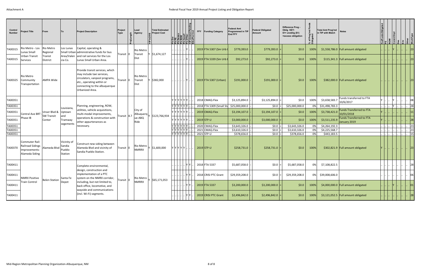| Control<br><b>Number</b> | Project Title                                                       | From                              | Πo                                                | <b>Project Description</b>                                                                                                                                                       | Project<br><b>Type</b> | Lead<br>Agency               | <b>Total Estimated</b><br><b>Project Cost</b><br>$\mathbf{e}$ |                                                              |     | <b>FFY</b> | <b>Funding Category</b>  | Federal Amt<br>Programmed in TIP<br><b>End FFY</b> | <b>Federal Obligated</b><br>Amount | Difference Prog -<br>Oblig KEY:<br>$$1$ = unoblig (\$1)<br>=excess obligation | pa<br>Ce<br>ō.<br>$\overline{5}$<br>ت ج | <b>Total Amt Prog'md</b><br>in TIP with Match | <b>Notes</b>                                    |  |  |    |
|--------------------------|---------------------------------------------------------------------|-----------------------------------|---------------------------------------------------|----------------------------------------------------------------------------------------------------------------------------------------------------------------------------------|------------------------|------------------------------|---------------------------------------------------------------|--------------------------------------------------------------|-----|------------|--------------------------|----------------------------------------------------|------------------------------------|-------------------------------------------------------------------------------|-----------------------------------------|-----------------------------------------------|-------------------------------------------------|--|--|----|
| TA00315                  | Rio Metro - Los<br>Lunas Small                                      | Rio Metro<br>Regional             | Los Lunas                                         | Capital, operating &<br>Small Urban administrative funds for bus                                                                                                                 |                        | Rio Metro                    |                                                               |                                                              |     |            | 2019 FTA 5307 (Sm Urb 0  | \$779,393.0                                        | \$779,393.0                        | \$0.0\$                                                                       | 100%                                    |                                               | \$1,558,786.0   Full amount obligated           |  |  | 23 |
| TA00315                  | <b>Urban Transit</b><br><b>Services</b>                             | Tranist<br><b>District</b>        | Area/Valen<br>cia Co.                             | and rail services for the Los<br>Lunas Small Urban Area.                                                                                                                         | Transit  0             | Transit<br>Dist              | \$1,674,127                                                   |                                                              |     |            | 2019 FTA 5339 (Sm Urb I  | \$92,273.0                                         | \$92,273.0                         | \$0.0\$                                                                       | 100%                                    |                                               | \$115,341.3   Full amount obligated             |  |  | 23 |
| TA00325                  | Rio Metro<br>Community<br>Transportation                            | <b>AMPA Wide</b>                  |                                                   | Provide transit services, which<br>may include taxi services,<br>circulators, vanpool programs,<br>etc., operating within or<br>connecting to the albuquerque<br>Urbanized Area. | Transit   0            | Rio Metro<br>Transit<br>Dist | \$382,000                                                     |                                                              |     |            | 2019 FTA 5307 (Urban)    | \$191,000.0                                        | \$191,000.0                        | \$0.0\$                                                                       | 100%                                    |                                               | \$382,000.0 Full amount obligated               |  |  | 23 |
| TA00351                  |                                                                     |                                   |                                                   |                                                                                                                                                                                  |                        |                              |                                                               | Y IY IY IY IY I                                              |     |            | 2018 CMAQ-Flex           | \$3,125,894.0                                      | \$3,125,894.0                      | \$0.0\$                                                                       | 100%                                    | \$3,658,583.7                                 | Funds transferred to FTA<br>10/6/2017           |  |  | 08 |
| TA00351                  |                                                                     |                                   |                                                   | Planning, engineering, ROW,                                                                                                                                                      |                        |                              |                                                               | Y Y Y Y Y Y Y                                                |     |            | 2018 FTA 5309 (Small Sta | \$25,000,000.0                                     | \$0.0\$                            | \$25,000,000.0                                                                |                                         | 0% \$31,498,783.3                             |                                                 |  |  | 28 |
| TA00351                  | Central Ave BRT                                                     | Unser Blvd &<br><b>SW Transit</b> | Louisiana,<br>Uptown<br>and                       | utilities, vehicle acquisitions,<br>multi-modal improvements,                                                                                                                    | Fransit  8.7           | City of<br>Albuquerq         | \$123,766,934                                                 | 7 Y Y Y Y Y L.                                               |     |            | 2019 CMAQ-Flex           | \$3,194,107.0                                      | \$3,194,107.0                      | \$0.0\$                                                                       | 100%                                    | \$3,738,421.0                                 | <b>Funds Transferred to FTA</b><br>10/01/2018   |  |  |    |
| TA00351                  | Phase IB                                                            | Center                            | Tramway<br>segements                              | operations & construction with<br>other appurtenances as                                                                                                                         |                        | ue-ABQ<br>Ride               |                                                               | Y Y Y Y Y Y Y                                                |     |            | $2019$ STP-U             | \$3,000,000.0                                      | \$3,000,000.0                      | \$0.0\$                                                                       | 100%                                    | \$3,511,235.9                                 | <b>Funds Transferred to FTA</b><br>January 2019 |  |  | 28 |
| TA00351                  |                                                                     |                                   |                                                   | necessary.                                                                                                                                                                       |                        |                              |                                                               | Y Y Y Y Y Y                                                  |     |            | 2020 CMAQ-Flex           | \$3,643,326.0                                      | \$0.0                              | \$3,643,326.0                                                                 | 0%                                      | \$4,264,192.3                                 |                                                 |  |  | 23 |
| TA00351                  |                                                                     |                                   |                                                   |                                                                                                                                                                                  |                        |                              |                                                               | Y Y Y Y Y Y                                                  |     |            | 2021 CMAQ-Flex           | \$3,610,326.0                                      | \$0.0\$                            | \$3,610,326.0                                                                 | 0%                                      | \$4,225,568.7                                 |                                                 |  |  | 23 |
| TA00351                  |                                                                     |                                   |                                                   |                                                                                                                                                                                  |                        |                              |                                                               | $\sqrt{ \mathsf{Y}   \mathsf{Y}   \mathsf{Y}   \mathsf{Y} }$ |     |            | 2021 STP-U               | \$378,656.0                                        | \$0.0                              | \$378,656.0                                                                   | 0%                                      | \$443,183.5                                   |                                                 |  |  | 15 |
| TA00370                  | Commuter Rail:<br>ailroad Sidings<br>nprovements-<br>Alameda Siding | Alameda Blvd                      | Vicinity of<br>Sandia<br>Pueblo<br><b>Station</b> | Construct new siding between<br>Alameda Blvd and vicinity of<br>Sandia Pueblo Station.                                                                                           | Transit  0             | Rio Metro<br><b>NMRRX</b>    | Y \$1,600,000                                                 | ،   ۲   ۲   ۲   ۲   ۱۰   ۱۰                                  |     |            | $2019$ STP-U             | \$258,731.0                                        | \$258,731.0                        | \$0.0\$                                                                       | 100%                                    |                                               | \$302,821.9   Full amount obligated             |  |  | 23 |
| TA00411                  |                                                                     |                                   |                                                   | Complete environmental,                                                                                                                                                          |                        |                              |                                                               |                                                              | Y Y |            | 2018 FTA 5337            | \$5,687,058.0                                      | \$0.0\$                            | \$5,687,058.0                                                                 | 0%                                      | \$7,108,822.5                                 |                                                 |  |  | 28 |
| TA00411                  | <b>NMRX Positive</b>                                                |                                   | Santa Fe                                          | design, construction and<br>implementation of a PTC<br>system on the NMRX corridor,                                                                                              |                        | Rio Metro                    |                                                               |                                                              |     |            | 2018 CRISI PTC Grant     | \$29,359,208.0                                     | \$0.0                              | \$29,359,208.0                                                                |                                         | 0% \$39,008,606.0                             |                                                 |  |  |    |
| TA00411                  | Train Control                                                       | <b>Belen Station</b>              | Depot                                             | including, but not limited to,<br>back office, locomotive, and<br>wayside and communications                                                                                     | Transit   0            | <b>NMRRX</b>                 | \$65,171,053                                                  |                                                              | YY  |            | 2019 FTA 5337            | \$3,200,000.0                                      | \$3,200,000.0                      | \$0.0\$                                                                       | 100%                                    |                                               | \$4,000,000.0   Full amount obligated           |  |  |    |
| TA00411                  |                                                                     |                                   |                                                   | (incl. Wi-Fi) segments.                                                                                                                                                          |                        |                              |                                                               |                                                              |     |            | 2019 CRISI PTC Grant     | \$2,496,842.0                                      | \$2,496,842.0                      | \$0.0\$                                                                       | 100%                                    |                                               | \$3,121,052.5   Full amount obligated           |  |  | 28 |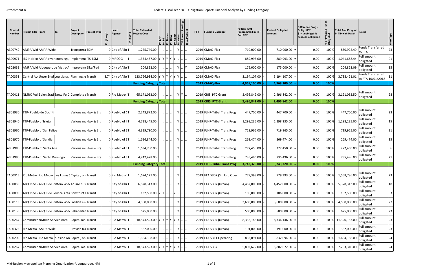| Control<br><b>Number</b> | <b>Project Title   From</b> |                                                        | To | Project<br><b>Description</b> | <b>Project Type</b>  | ngth | Lead<br>Agency     | <b>Total Estimated</b><br><b>Project Cost</b>                                                              |  | Desian<br><b>ROW</b><br>Const<br>Other<br>Melped<br>Gled | 高   티움   토 |              | <b>FFY</b> | <b>Funding Category</b>     | <b>Federal Amt</b><br><b>Programmed in TIP</b><br><b>End FFY</b> | <b>Federal Obligated</b><br>Amount | Difference Prog -<br>Oblig KEY:<br>$$1=$ unoblig $($1)$<br>=excess obligation | Prog'md<br>gated<br>% of<br>Oblig | Total Amt Prog'md Notes<br>in TIP with Match |                                               | WorkType |
|--------------------------|-----------------------------|--------------------------------------------------------|----|-------------------------------|----------------------|------|--------------------|------------------------------------------------------------------------------------------------------------|--|----------------------------------------------------------|------------|--------------|------------|-----------------------------|------------------------------------------------------------------|------------------------------------|-------------------------------------------------------------------------------|-----------------------------------|----------------------------------------------|-----------------------------------------------|----------|
| A300749                  |                             | AMPA Wid AMPA Wide                                     |    | Transporta TDM                |                      |      | 0 City of AlbuT    | 1,275,749.00                                                                                               |  |                                                          | IY.        |              |            | 2019 CMAQ-Flex              | 710,000.00                                                       | 710,000.00                         | 0.00                                                                          | 100%                              | 830,992.49                                   | <b>Funds Transferred</b><br>to FTA            | 23       |
| A300971                  |                             | ITS Inciden AMPA river crossings, Implement ITS-TSM    |    |                               |                      |      | 0 MRCOG            | 1,354,457.00 Y Y Y Y Y Y                                                                                   |  |                                                          |            |              |            | 2019 CMAQ-Flex              | 889,993.00                                                       | 889,993.00                         | 0.00                                                                          | 100%                              | 1,041,658.44                                 | Full amount<br>obligated                      | 01       |
| A302031                  |                             | AMPA Wid Albuquerque Metro Allmproveme Bike/Ped        |    |                               |                      |      | 0 City of AlbuT    | 204,822.00                                                                                                 |  |                                                          | Y          | $\mathsf{Y}$ |            | 2019 CMAQ-Flex              | 175,000.00                                                       | 175,000.00                         | 0.00                                                                          | 100%                              | 204,822.09                                   | Full amount<br>obligated                      | 15       |
| TA00351                  |                             | Central AveUnser Blvd Louisiana, Planning, eTransit    |    |                               |                      |      | 8.74 City of AlbuT | 123,766,934.00 Y Y Y Y Y Y Y                                                                               |  |                                                          |            |              |            | 2019 CMAQ-Flex              | 3,194,107.00                                                     | 3,194,107.00                       | 0.00                                                                          | 100%                              | 3,738,421.01                                 | <b>Funds Transferred</b><br>to FTA 10/01/2018 | 11       |
|                          |                             |                                                        |    |                               |                      |      |                    | <b>Funding Category Total</b>                                                                              |  |                                                          |            |              |            | 2019 CMAQ-Flex              | 4,969,100.00                                                     | 4,969,100.00                       | 0.00                                                                          | 100%                              |                                              |                                               |          |
| TA00411                  |                             | NMRX Posi Belen Stati Santa Fe D Complete (Transit     |    |                               |                      |      | 0 Rio Metro IT     | 65,171,053.00                                                                                              |  |                                                          |            |              |            | 2019 CRISI PTC Grant        | 2,496,842.00                                                     | 2,496,842.00                       | 0.00                                                                          | 100%                              | 3,121,052.50                                 | Full amount<br>obligated                      | 28       |
|                          |                             |                                                        |    |                               |                      |      |                    | <b>Funding Category Total</b>                                                                              |  |                                                          |            |              |            | 2019 CRISI PTC Grant        | 2,496,842.00                                                     | 2,496,842.00                       | 0.00                                                                          | 100%                              |                                              |                                               |          |
| A301930                  |                             | TTP- Pueblo de Cochiti                                 |    |                               | Various mu Hwy & Brg |      | 0 Pueblo of CT     | 2,243,872.00                                                                                               |  |                                                          |            |              |            | 2019 FLHP-Tribal Trans Prog | 447,700.00                                                       | 447,700.00                         | 0.00                                                                          | 100%                              | 447,700.00                                   | Full amount<br>obligated                      | 23       |
| A301940                  | TTP-Pueblo of Isleta        |                                                        |    |                               | Various mu Hwy & Brg |      | 0 Pueblo of IT     | 4,728,445.00                                                                                               |  |                                                          | IY.        |              |            | 2019 FLHP-Tribal Trans Prog | 1,298,235.00                                                     | 1,298,235.00                       | 0.00                                                                          | 100%                              | 1,298,235.00                                 | Full amount<br>obligated                      | 15       |
| A301960                  |                             | TTP-Pueblo of San Felipe                               |    |                               | Various mu Hwy & Brg |      | 0 Pueblo of ST     | 4,319,790.00                                                                                               |  |                                                          | IY.        |              |            | 2019 FLHP-Tribal Trans Prog | 719,965.00                                                       | 719,965.00                         | 0.00                                                                          | 100%                              | 719,965.00                                   | Full amount<br>obligated                      | 21       |
| A301970                  | TTP-Pueblo of Sandia        |                                                        |    |                               | Various mu Hwy & Brg |      | 0 Pueblo of ST     | 1,616,844.00                                                                                               |  |                                                          |            |              |            | 2019 FLHP-Tribal Trans Prog | 269,474.00                                                       | 269,474.00                         | 0.00                                                                          | 100%                              | 269,474.00                                   | Full amount<br>obligated                      | 15       |
| A301980                  |                             | TTP-Pueblo of Santa Ana                                |    |                               | Various mu Hwy & Brg |      | 0 Pueblo of ST     | 1,634,700.00                                                                                               |  |                                                          |            |              |            | 2019 FLHP-Tribal Trans Prog | 272,450.00                                                       | 272,450.00                         | 0.00                                                                          | 100%                              | 272,450.00                                   | Full amount<br>obligated                      | 06       |
| A301990                  |                             | TTP-Pueblo of Santo Domingo                            |    |                               | Various mu Hwy & Brg |      | 0 Pueblo of ST     | 4,242,478.00                                                                                               |  |                                                          |            |              |            | 2019 FLHP-Tribal Trans Prog | 735,496.00                                                       | 735,496.00                         | 0.00                                                                          | 100%                              | 735,496.00                                   | Full amount<br>obligated                      | 21       |
|                          |                             |                                                        |    |                               |                      |      |                    | <b>Funding Category Total</b>                                                                              |  |                                                          |            |              |            | 2019 FLHP-Tribal Trans Prog | 3,743,320.00                                                     | 3,743,320.00                       | 0.00                                                                          | 100%                              |                                              |                                               |          |
| TA00315                  |                             | Rio Metro Rio Metro Los Lunas SCapital, op Transit     |    |                               |                      |      | 0 Rio Metro T      | 1,674,127.00 $\left  \ldots \right  \ldots \left  \ldots \right  \ldots$  Y $\left  \ldots \right  \ldots$ |  |                                                          |            |              |            | 2019 FTA 5307 (Sm Urb Oper  | 779,393.00                                                       | $779,393.00$ =                     | 0.00                                                                          |                                   | 100% 1,558,786.00                            | Full amount<br>obligated                      | 23       |
| TA00059                  |                             | ABQ Ride - ABQ Ride System Wide Aquire bus Transit     |    |                               |                      |      | 0 City of AlbuT    | 6,628,313.00                                                                                               |  | $\ .\ $ Y                                                |            |              |            | 2019 FTA 5307 (Urban)       | 4,452,000.00                                                     | 4,452,000.00                       | 0.00                                                                          | 100%                              | 5,378,313.00                                 | Full amount<br>obligated                      | 18       |
| TA00099                  |                             | ABQ Ride - ABQ Ride Service Area Construct ITransit    |    |                               |                      |      | 0 City of AlbuT    | 132,500.00 Y Y                                                                                             |  | Y     <sub> </sub>                                       |            |              |            | 2019 FTA 5307 (Urban)       | 106,000.00                                                       | 106,000.00                         | 0.00                                                                          | 100%                              | 132,500.00                                   | Full amount<br>obligated                      | 03       |
| TA00113                  |                             | ABQ Ride - ABQ Ride System Wide Facilities & Transit   |    |                               |                      |      | 0 City of AlbuT    | 4,500,000.00                                                                                               |  |                                                          | IY.        |              |            | 2019 FTA 5307 (Urban)       | 3,600,000.00                                                     | 3,600,000.00                       | 0.00                                                                          | 100%                              | 4,500,000.00                                 | Full amount<br>obligated                      | 27       |
| TA00138                  |                             | ABQ Ride - ABQ Ride System Wide Rehabilitat Transit    |    |                               |                      |      | 0 City of AlbuT    | 625,000.00                                                                                                 |  |                                                          | Y          |              |            | 2019 FTA 5307 (Urban)       | 500,000.00                                                       | 500,000.00                         | 0.00                                                                          | 100%                              | 625,000.00                                   | Full amount<br>obligated                      | 23       |
| TA00267                  |                             | Commuter NMRRX Service Area                            |    | Capital maiTransit            |                      |      | 0 Rio Metro   T    | 18,573,523.00 Y Y Y Y Y Y Y Y                                                                              |  |                                                          |            |              |            | 2019 FTA 5307 (Urban)       | 8,336,146.00                                                     | 8,336,146.00                       | 0.00                                                                          |                                   | 100% 11,320,183.00                           | Full amount<br>obligated                      | 23       |
| TA00325                  |                             | Rio Metro (AMPA Wide                                   |    | Provide tra Transit           |                      |      | 0 Rio Metro 1      | 382,000.00                                                                                                 |  |                                                          |            |              |            | 2019 FTA 5307 (Urban)       | 191,000.00                                                       | 191,000.00                         | 0.00                                                                          | 100%                              | 382,000.00                                   | Full amount<br>obligated                      | 23       |
| TA00209                  |                             | Rio Metro   Rio Metro   outside AB Capital, op Transit |    |                               |                      |      | 0 Rio Metro 1      | 1,664,188.00                                                                                               |  |                                                          | Y          |              |            | 2019 FTA 5311 Operating     | 832,094.00                                                       | 832,094.00                         | 0.00                                                                          | 100%                              | 1,664,188.00                                 | Full amount<br>obligated                      | 24       |
| TA00267                  |                             | Commuter NMRRX Service Area   Capital maiTransit       |    |                               |                      |      | 0 Rio Metro   T    | 18,573,523.00 Y Y Y Y Y Y Y                                                                                |  |                                                          |            |              |            | 2019 FTA 5337               | 5,802,672.00                                                     | 5,802,672.00                       | 0.00                                                                          | 100%                              | 7,253,340.00                                 | Full amount<br>obligated                      | 24       |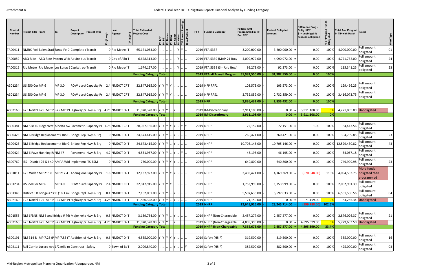| Control<br><b>Number</b> | <b>Project Title From</b>                                                       | To                                                                   | Project<br><b>Description</b> | <b>Project Type</b>   | Lead<br>Agency     | <b>Total Estimated</b><br><b>Project Cost</b> |  | <b>Ph Design<br/>Ph ROM<br/>Ph Const<br/>Ph Amen<br/>Ph Amen<br/>Bike Ped I</b> | <b>FFY</b> | <b>Funding Category</b>      | <b>Federal Amt</b><br><b>Programmed in TIP</b><br><b>End FFY</b> | <b>Federal Obligated</b><br>Amount | Difference Prog -<br>Oblig KEY:<br>$$1=$ unoblig $$1)$<br>=excess obligation | Prog'm<br><sub>aated</sub><br>% of I<br>Oblig | Total Amt Prog'md Notes<br>in TIP with Match |                          | <b>WorkType</b> |
|--------------------------|---------------------------------------------------------------------------------|----------------------------------------------------------------------|-------------------------------|-----------------------|--------------------|-----------------------------------------------|--|---------------------------------------------------------------------------------|------------|------------------------------|------------------------------------------------------------------|------------------------------------|------------------------------------------------------------------------------|-----------------------------------------------|----------------------------------------------|--------------------------|-----------------|
| TA00411                  |                                                                                 | NMRX Posi Belen Stati Santa Fe D Complete (Transit                   |                               |                       | 0 Rio Metro IT     | 65,171,053.00                                 |  | IY Y                                                                            |            | 2019 FTA 5337                | 3,200,000.00                                                     | $3,200,000.00$ =                   | 0.00                                                                         | 100%                                          | 4,000,000.00                                 | Full amount<br>obligated | $01\,$          |
| 000059 r                 |                                                                                 | ABQ Ride - ABQ Ride System Wide Aquire bus Transit                   |                               |                       | 0 City of AlbuT    | 6,628,313.00                                  |  |                                                                                 |            | 2019 FTA 5339 (MAP-21 Bus)   | 4,090,972.00                                                     | $4,090,972.00$ =                   | 0.00                                                                         | 100%                                          | 4,771,732.00                                 | Full amount<br>obligated | 24              |
| TA00315                  | Rio Metro Rio Metro Los Lunas § Capital, op Transit                             |                                                                      |                               |                       | 0 Rio Metro 1T     | 1,674,127.00                                  |  | IY.                                                                             |            | 2019 FTA 5339 (Sm Urb Bus/   | 92,273.00                                                        | $92,273.00$ =                      | 0.00                                                                         | 100%                                          | 115,341.25                                   | Full amount<br>obligated | 23              |
|                          |                                                                                 |                                                                      |                               |                       |                    | <b>Funding Category Total</b>                 |  |                                                                                 |            | 2019 FTA all Transit Program | 31,982,550.00                                                    | 31,982,550.00                      | 0.00                                                                         | 100%                                          |                                              |                          |                 |
|                          |                                                                                 |                                                                      |                               |                       |                    |                                               |  |                                                                                 |            |                              |                                                                  |                                    |                                                                              |                                               |                                              |                          |                 |
| A301234                  | <b>US 550 Cor MP.6</b>                                                          | MP 3.0                                                               |                               | ROW purch Capacity Pr | 2.4 NMDOT CRT      | 32,847,915.00 Y Y Y Y Y                       |  |                                                                                 |            | 2019 HPP RPF1                | 103,573.00                                                       | $103,573.00$ =                     | 0.00                                                                         | 100%                                          | 129,466.25                                   | Full amount<br>obligated |                 |
| A301234                  | US 550 Cor MP.6                                                                 | MP 3.0                                                               |                               | ROW purch Capacity Pr | 2.4 NMDOT CRT      | 32,847,915.00 Y Y Y Y Y                       |  |                                                                                 |            | 2019 HPP RPS1                | 2,732,859.00                                                     | $2,732,859.00$ =                   | 0.00                                                                         | 100%                                          | 3,416,073.75                                 | Full amount<br>obligated |                 |
|                          |                                                                                 |                                                                      |                               |                       |                    | <b>Funding Category Total</b>                 |  |                                                                                 |            | $2019$ HPP                   | 2,836,432.00                                                     | 2,836,432.00                       | 0.00                                                                         | 100%                                          |                                              |                          |                 |
| A302160                  | 1-25 Northt I-25 MP 191-25 MP 19 Highway pr Hwy & Brg                           |                                                                      |                               |                       | $4.25$ NMDOT D-T   | 11,820,328.00 Y Y Y  Y                        |  |                                                                                 |            | 2019 IM-Discretionary        | 3,911,108.00                                                     | $0.00$ =                           | 3,911,108.00                                                                 |                                               | 4,221,835.09 Unobligated                     |                          |                 |
|                          |                                                                                 |                                                                      |                               |                       |                    | <b>Funding Category Total</b>                 |  |                                                                                 |            | 2019 IM-Discretionary        | 3,911,108.00                                                     | 0.00                               | 3,911,108.00                                                                 | $ 0\% $                                       |                                              |                          |                 |
|                          |                                                                                 |                                                                      |                               |                       |                    |                                               |  |                                                                                 |            |                              |                                                                  |                                    |                                                                              |                                               |                                              |                          |                 |
| A300381                  |                                                                                 | NM 528 Rid Ridgecrest Alberta AvePavement Capacity Pr 1.78 NMDOT CRT |                               |                       |                    | 28,027,166.00 Y Y Y Y Y Y  Y Y                |  |                                                                                 |            | 2019 NHPP                    | 72,152.00                                                        | 72,151.00                          | 1.00                                                                         | 100%                                          | 84,447.56                                    | Full amount<br>obligated |                 |
| A300423                  |                                                                                 | NM 6 Bridge Replacement (Rio G Bridge Rep Hwy & Brg                  |                               |                       | 0 NMDOT D-T        | 24,673,415.00 Y Y Y Y  Y  .                   |  |                                                                                 |            | 2019 NHPP                    | 260,421.00                                                       | $260,421.00$ =                     | 0.00                                                                         | 100%                                          | 304,799.85                                   | Full amount<br>obligated | 23              |
| A300423                  |                                                                                 | NM 6 Bridge Replacement (Rio G Bridge Rep Hwy & Brg                  |                               |                       | 0 NMDOT D-T        | 24,673,415.00 Y Y Y                           |  |                                                                                 |            | 2019 NHPP                    | 10,705,146.00                                                    | $10,705,146.00$ =                  | 0.00                                                                         |                                               | 100% 12,529,430.82                           | Full amount<br>obligated | 43              |
| A300424                  | NM 6 Pave Hunning R&NM 47                                                       |                                                                      |                               | Pavement   Hwy & Brg  | 4.7 NMDOT D-T      | 4,531,967.00 Y Y Y Y  Y  Y                    |  |                                                                                 |            | 2019 NHPP                    | 46,195.00                                                        | $46,195.00$ =                      | 0.00                                                                         | 100%                                          | 54,067.18                                    | Full amount<br>obligated |                 |
| A300769                  | ITS - Distrid I-25 & I-40 AMPA Wid Implement ITS-TSM                            |                                                                      |                               |                       | 0 NMDOT D-T        | 750,000.00 Y Y Y Y Y Y                        |  |                                                                                 |            | 2019 NHPP                    | 640,800.00                                                       | $640,800.00$ =                     | 0.00                                                                         | 100%                                          | 749,999.98                                   | Full amount<br>obligated | 23              |
|                          | A301011  I-25 Widen MP 215.8  MP 217.4  Adding one Capacity Pr $1.6$ NMDOT D- T |                                                                      |                               |                       |                    | 12,137,927.00 Y Y Y Y Y Y                     |  |                                                                                 |            | 2019 NHPP                    | 3,498,421.00                                                     | 4,169,369.00                       | (670, 948.00)                                                                | 119%                                          | 4,094,593.75 obligated than                  | More funds<br>programmed |                 |
| A301234                  | US 550 CorMP.6                                                                  | MP 3.0                                                               |                               | ROW purch Capacity Pr | 2.4 NMDOT CRT      | 32,847,915.00 Y Y Y Y Y                       |  |                                                                                 |            | 2019 NHPP                    | 1,753,999.00                                                     | $1,753,999.00$ =                   | 0.00                                                                         | 100%                                          | 2,052,901.39                                 | Full amount<br>obligated |                 |
| A301345                  | District 3 B Bridge #7398 (18.1 mil Bridge repl Hwy & Brg                       |                                                                      |                               |                       | $0.1$ NMDOT D-T    | 7,102,001.00 Y Y Y .                          |  |                                                                                 |            | 2019 NHPP                    | 5,597,633.00                                                     | $5,597,633.00$ =                   | 0.00                                                                         | 100%                                          | 6,551,536.56                                 | Full amount<br>obligated | 04              |
| A302160                  | 1-25 Northt-25 MP 191-25 MP 19 Highway pr Hwy & Brg 4.25 NMDOT D-T              |                                                                      |                               |                       |                    | 11,820,328.00 Y Y Y Y  Y                      |  |                                                                                 |            | 2019 NHPP                    | 71,159.00                                                        | $0.00$ =                           | 71,159.00                                                                    | 0%                                            |                                              | 83,285.34 Unobligated    |                 |
|                          |                                                                                 |                                                                      |                               |                       |                    | <b>Funding Category Total</b>                 |  |                                                                                 |            | <b>2019 NHPP</b>             | 22,645,926.00                                                    | 23,245,714.00                      | $(599,788.00)$ 102.6%                                                        |                                               |                                              |                          |                 |
| A301555                  | NM 6/BNS NM 6 and Bridge #76 Major rehal Hwy & Brg                              |                                                                      |                               |                       | $0.5$ NMDOT D- $T$ | 3,139,764.00 Y Y Y Y  Y                       |  |                                                                                 |            | 2019 NHPP (Non-Chargeable    | 2,457,277.00                                                     | $2,457,277.00$ =                   | 0.00                                                                         | 100%                                          | 2,876,026.37                                 | Full amount<br>obligated | 21              |
| A302160                  | $\vert$ I-25 North: I-25 MP 19 I-25 MP 19 Highway pr Hwy & Brg                  |                                                                      |                               |                       | $4.25$ NMDOT D-T   | 11,820,328.00 Y Y Y  Y                        |  |                                                                                 |            | 2019 NHPP (Non-Chargeable    | 4,895,399.00                                                     | $0.00$ =                           | 4,895,399.00                                                                 |                                               | 5,729,633.50 Unobligated                     |                          |                 |
|                          |                                                                                 |                                                                      |                               |                       |                    | <b>Funding Category Total</b>                 |  |                                                                                 |            | 2019 NHPP (Non-Chargeable    | 7,352,676.00                                                     | 2,457,277.00                       | 4,895,399.00                                                                 | 33.4%                                         |                                              |                          |                 |
|                          |                                                                                 |                                                                      |                               |                       |                    |                                               |  |                                                                                 |            |                              |                                                                  |                                    |                                                                              |                                               |                                              |                          |                 |
| A300191                  | NM 314 & MP 7.25 (PMP 7.85 (T Addition of Hwy & Brg                             |                                                                      |                               |                       | $0.6$ NMDOT D-T    | 4,555,000.00 Y Y Y Y Y Y                      |  |                                                                                 |            | 2019 Safety (HSIP)           | 319,500.00                                                       | $319,500.00$ =                     | 0.00                                                                         | 100%                                          | 355,000.00                                   | Full amount<br>obligated | 16              |
| A302111                  | Rail Corrid Lucero Ave 1/2 mile nd Construct Safety                             |                                                                      |                               |                       | 0 Town of BeT      | 2,099,840.00                                  |  | $\ldots$ $ Y $ $\ldots$ $ Y $                                                   |            | 2019 Safety (HSIP)           | 382,500.00                                                       | $382,500.00$ =                     | 0.00                                                                         | 100%                                          | 425,000.00                                   | Full amount<br>obligated | 03              |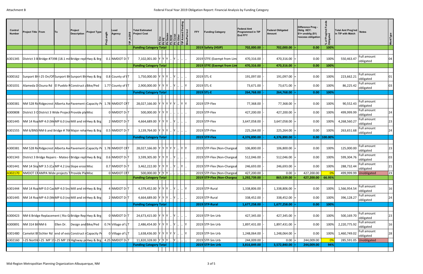| Control<br><b>Number</b> | <b>Project Title   From</b> | Project<br> To<br><b>Description</b>                                    | <b>Project Type</b> | Lead<br>Agency       | <b>Total Estimated</b><br><b>Project Cost</b>       |  |           |   | <b>FFY</b> | <b>Funding Category</b>                                   | <b>Federal Amt</b><br><b>Programmed in TIP</b><br><b>End FFY</b> | <b>Federal Obligated</b><br>Amount | Difference Prog -<br>Oblig KEY:<br>$$1=$ unoblig $($1)$<br>=excess obligation | Prog'md<br>arted<br>$\mathbf{\tilde{o}}$<br>್ದೆ ಕೆ | Total Amt Prog'md Notes<br>in TIP with Match |                                                       | <b>WorkType</b> |
|--------------------------|-----------------------------|-------------------------------------------------------------------------|---------------------|----------------------|-----------------------------------------------------|--|-----------|---|------------|-----------------------------------------------------------|------------------------------------------------------------------|------------------------------------|-------------------------------------------------------------------------------|----------------------------------------------------|----------------------------------------------|-------------------------------------------------------|-----------------|
|                          |                             |                                                                         |                     |                      | <b>Funding Category Total</b>                       |  |           |   |            | 2019 Safety (HSIP)                                        | 702,000.00                                                       | 702,000.00                         | 0.00                                                                          | 100%                                               |                                              |                                                       |                 |
| A301345                  |                             | District 3 B Bridge #7398 (18.1 mil Bridge repl Hwy & Brg               |                     | $0.1$ NMDOT D- $T$   | 7,102,001.00 Y Y Y                                  |  |           |   |            | 2019 STFE (Exempt from Lim                                | 470,316.00                                                       | 470,316.00                         | 0.00                                                                          | 100%                                               | 550,463.47                                   | <b>Full amount</b><br>obligated                       | 04              |
|                          |                             |                                                                         |                     |                      | <b>Funding Category Total</b>                       |  |           |   |            | 2019 STFE (Exempt from Lim                                | 470,316.00                                                       | 470,316.00                         | 0.00                                                                          | 100%                                               |                                              |                                                       |                 |
| A300162                  |                             | Sunport BlyI-25 On/Of Sunport BlySunport BlyHwy & Brg                   |                     | 0.8 County of IT     | 1,750,000.00  Y  Y  Y    Y                          |  |           |   |            | 2019 STL-E                                                | 191,097.00                                                       | 191,097.00                         | 0.00                                                                          | 100%                                               | 223,662.21                                   | Full amount<br>obligated                              | 01              |
| A301031                  |                             | Alameda DOsuna Rd   El Pueblo R Construct a Bike/Ped                    |                     | 1.77 County of IT    | 2,900,000.00 Y Y Y                                  |  |           |   |            | 2019 STL-E                                                | 73,671.00                                                        | 73,671.00                          | 0.00                                                                          | 100%                                               | 86,225.42                                    | Full amount<br>obligated                              | 03              |
|                          |                             |                                                                         |                     |                      | <b>Funding Category Total</b>                       |  |           |   |            | 2019 STL-E                                                | 264,768.00                                                       | 264,768.00                         | 0.00                                                                          | 100%                                               |                                              |                                                       |                 |
| A300381                  |                             | NM 528 Rickidgecrest Alberta AvePavement Capacity Pr 1.78 NMDOT CRT     |                     |                      | 28,027,166.00 Y Y Y Y Y Y  Y Y                      |  |           |   |            | 2019 STP-Flex                                             | 77,368.00                                                        | 77,368.00                          | 0.00                                                                          | 100%                                               | 90,552.43                                    | Full amount<br>obligated                              |                 |
| A300808                  |                             | District 3 O District 3 Wide Project Provide pla Misc                   |                     | 0 NMDOT D-T          | 500,000.00 Y Y Y                                    |  |           |   |            | 2019 STP-Flex                                             | 427,200.00                                                       | 427,200.00                         | 0.00                                                                          | 100%                                               | 499,999.99                                   | Full amount<br>obligated                              | 24              |
| A301445                  |                             | NM 14 Roa MP 4.0 (M(MP 6.0 (no Mill and in Hwy & Brg                    |                     | 2 NMDOT D-T          | 4,664,689.00 Y Y Y Y                                |  |           |   |            | 2019 STP-Flex                                             | 3,647,058.00                                                     | 3,647,058.00                       | 0.00                                                                          | 100%                                               | 4,268,560.27                                 | Full amount<br>obligated                              | 23              |
| A301555                  |                             | NM 6/BNSINM 6 and Bridge #766 Major rehal Hwy & Brg                     |                     | $0.5$ NMDOT D-T      | 3,139,764.00 $ Y Y Y $ $ Y $                        |  |           |   |            | 2019 STP-Flex                                             | 225,264.00                                                       | 225,264.00                         | 0.00                                                                          | 100%                                               | 263,651.68                                   | Full amount<br>obligated                              | 24              |
|                          |                             |                                                                         |                     |                      | <b>Funding Category Total</b>                       |  |           |   |            | 2019 STP-Flex                                             | 4,376,890.00                                                     | 4,376,890.00                       |                                                                               | $0.00$   100.00%                                   |                                              |                                                       |                 |
|                          |                             |                                                                         |                     |                      |                                                     |  |           |   |            |                                                           |                                                                  |                                    |                                                                               |                                                    |                                              |                                                       |                 |
| A300381                  |                             | NM 528 Rid Ridgecrest Alberta AvePavement Capacity Pr 1.78 NMDOT CRT    |                     |                      | 28,027,166.00 Y Y Y Y Y Y  Y Y                      |  |           |   |            | 2019 STP-Flex (Non-Chargeal                               | 106,800.00                                                       | 106,800.00                         | 0.00                                                                          | 100%                                               | 125,000.00                                   | <b>Full amount</b><br>obligated<br><b>Full amount</b> | 23              |
| A301343                  |                             | District 3 Bridge Repairs - Mateo (Bridge rep  Hwy & Brg                |                     | $0.6$ NMDOT D-T      | 3,599,305.00 $ Y Y Y $ $ Y $                        |  |           |   |            | 2019 STP-Flex (Non-Chargeal                               | 512,046.00                                                       | 512,046.00                         | 0.00                                                                          | 100%                                               | 599,304.76                                   | obligated                                             | 03              |
| A301441                  |                             | NM 14 Slor MP 3.5 (Ca MP 4.2 (no Slope erosi Misc                       |                     | $0.7$ NMDOT D-T      | 3,462,222.00 Y Y Y  Y  Y  Y                         |  |           |   |            | 2019 STP-Flex (Non-Chargeal                               | 246,693.00                                                       | 246,693.00                         | 0.00                                                                          | 100%                                               | 288,732.44                                   | <b>Full amount</b><br>obligated                       | 21              |
|                          |                             | A302170 NMDOT CRAMPA Wide projects T Provide Pla Misc                   |                     | 0 NMDOT CRT          | 500,000.00 Y Y Y Y<br><b>Funding Category Total</b> |  |           |   |            | 2019 STP-Flex (Non-Chargeal<br>2019 STP-Flex (Non-Chargea | 427,200.00<br>1,292,739.00                                       | $0.00$ =<br>865,539.00             | 427,200.00<br>427,200.00                                                      | 0%<br>66.95%                                       |                                              | 499,999.99 Unobligated                                | 23              |
|                          |                             |                                                                         |                     |                      |                                                     |  |           |   |            |                                                           |                                                                  |                                    |                                                                               |                                                    |                                              |                                                       |                 |
| A301444                  |                             | NM 14 Roa MP 0.0 Cas MP 4.0 Snd Mill and in Hwy & Brg                   |                     | 4 NMDOT D-T          | 4,379,452.00 Y Y Y  Y                               |  | $\cdot$ Y |   |            | 2019 STP-Rural                                            | 1,338,806.00                                                     | 1,338,806.00                       | 0.00                                                                          | 100%                                               | 1,566,954.54                                 | <b>Full amount</b><br>obligated                       | 16              |
| A301445                  |                             | NM 14 Roa MP 4.0 (M(MP 6.0 (no Mill and in Hwy & Brg)                   |                     | 2 NMDOT D-T          | 4,664,689.00 Y Y Y  Y                               |  |           |   |            | 2019 STP-Rural                                            | 338,452.00                                                       | 338,452.00                         | 0.00                                                                          | 100%                                               | 396,128.27                                   | Full amount<br>obligated                              | 24              |
|                          |                             |                                                                         |                     |                      | <b>Funding Category Total</b>                       |  |           |   |            | 2019 STP-Rural                                            | 1,677,258.00                                                     | 1,677,258.00                       | 0.00                                                                          | 100%                                               |                                              |                                                       |                 |
|                          |                             |                                                                         |                     |                      |                                                     |  |           |   |            |                                                           |                                                                  |                                    |                                                                               |                                                    |                                              | Full amount                                           |                 |
| A300423                  |                             | NM 6 Bridge Replacement (Rio G Bridge Rep Hwy & Brg                     |                     | 0 NMDOT D-T          | 24,673,415.00 Y Y Y  Y                              |  |           |   |            | 2019 STP-Sm Urb                                           | 427,345.00                                                       | 427,345.00                         | 0.00                                                                          | 100%                                               | 500,169.70                                   | obligated<br>Full amount                              | 23              |
| A300891                  | NM 314 Bil NM 6             | Ellen Dr.                                                               | Design and Bike/Ped | 0.74 Village of L T  | 2,486,454.00 Y Y Y Y                                |  |           | Y |            | 2019 STP-Sm Urb                                           | 1,897,431.00                                                     | 1,897,431.00                       | 0.00                                                                          | 100%                                               | 2,220,775.92                                 | obligated                                             | 16              |
| A301480                  |                             | Camelot BI Sichler Rd end of exis Construct r Capacity Pr               |                     | $0$ Village of $L$ T | 1,638,436.00 Y Y Y Y Y Y  . Y                       |  |           |   |            | 2019 STP-Sm Urb                                           | 1,248,064.00                                                     | $1,248,064.00$ =                   | 0.00                                                                          | 100%                                               | 1,460,749.02                                 | <b>Full amount</b><br>obligated                       | 28              |
| A302160                  |                             | II-25 North I-25 MP 19 I-25 MP 19 Highway pi Hwy & Brg   4.25 NMDOT D-T |                     |                      | 11,820,328.00 Y Y Y  Y                              |  |           |   |            | 2019 STP-Sm Urb                                           | 244,009.00                                                       | 0.00                               | 244,009.00                                                                    |                                                    |                                              | 285,591.05 Unobligated                                |                 |
|                          |                             |                                                                         |                     |                      | <b>Funding Category Total</b>                       |  |           |   |            | 2019 STP-Sm Urb                                           | 3,816,849.00                                                     | 3,572,840.00                       | 244,009.00                                                                    | 94%                                                |                                              |                                                       |                 |
|                          |                             |                                                                         |                     |                      |                                                     |  |           |   |            |                                                           |                                                                  |                                    |                                                                               |                                                    |                                              |                                                       |                 |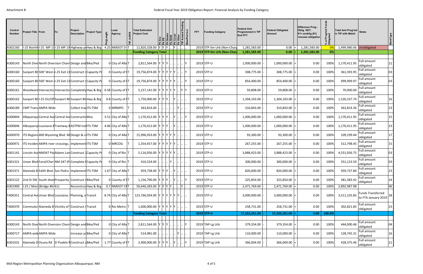| Control<br><b>Number</b> | <b>Project Title   From</b>                                            | To | Project<br><b>Description</b> | <b>Project Type</b> | Lead<br>gth<br>Agency | <b>Total Estimated</b><br><b>Project Cost</b> |  |      | $\frac{\text{Cost}}{\text{Othe}}$ | <b>FFY</b> | <b>Funding Category</b>    | <b>Federal Amt</b><br><b>Programmed in TIP</b><br><b>End FFY</b> | Amount | <b>Federal Obligated</b> | Difference Prog -<br>Oblig KEY:<br>$$1=$ unoblig $($1)$<br>=excess obligation | Ē,<br>Prog'md<br>gated<br>`ಠ ≒ី<br>* ō | Total Amt Prog'md Notes<br>in TIP with Match |                                                 | WorkType |
|--------------------------|------------------------------------------------------------------------|----|-------------------------------|---------------------|-----------------------|-----------------------------------------------|--|------|-----------------------------------|------------|----------------------------|------------------------------------------------------------------|--------|--------------------------|-------------------------------------------------------------------------------|----------------------------------------|----------------------------------------------|-------------------------------------------------|----------|
| A302160                  | I-25 North: I-25 MP 19 I-25 MP 19 Highway pr Hwy & Brg 4.25 NMDOT D-T  |    |                               |                     |                       | 11,820,328.00 Y Y Y                           |  |      |                                   |            | 2019 STP-Sm Urb (Non-Charg | 1,281,583.00                                                     |        | 0.00                     | 1,281,583.00                                                                  |                                        | 1,499,980.06 Unobligated                     |                                                 |          |
|                          |                                                                        |    |                               |                     |                       | <b>Funding Category Total</b>                 |  |      |                                   |            | 2019 STP-Sm Urb (Non-Char  | 1,281,583.00                                                     |        | 0.00                     | 1,281,583.00                                                                  | 0%                                     |                                              |                                                 |          |
| A300143                  | North Dive North Diversion Chann Design and Bike/Ped                   |    |                               |                     | 0 City of AlbuT       | 2,811,564.00 Y Y Y .                          |  |      |                                   |            | 2019 STP-U                 | 1,000,000.00                                                     |        | 1,000,000.00             | 0.00                                                                          | 100%                                   | 1,170,411.95                                 | Full amount<br>obligated                        | 21       |
| A300160                  | Sunport BI 500' West 1-25 Exit 22 Construct r Capacity Pr              |    |                               |                     | 0 County of IT        | 19,756,874.00 Y Y Y Y Y Y                     |  |      | <sup> </sup> Y                    |            | 2019 STP-U                 | 308,775.00                                                       |        | 308,775.00               | 0.00                                                                          | 100%                                   | 361,393.95                                   | Full amount<br>obligated                        | 03       |
| A300160                  | Sunport BI 500' West 1-25 Exit 22 Construct   Capacity Pr              |    |                               |                     | 0 County of IT        | 19,756,874.00 Y Y Y Y Y Y   Y                 |  |      |                                   |            | 2019 STP-U                 | 854,400.00                                                       |        | 854,400.00               | 0.00                                                                          | 100%                                   | 999,999.97                                   | <b>Full amount</b><br>obligated                 | 03       |
| A300161                  | Woodward Intersectio Intersectio Completel Hwy & Brg 0.58 County of IT |    |                               |                     |                       | 5,157,141.00 Y Y Y Y Y Y  Y Y                 |  |      |                                   |            | 2019 STP-U                 | 59,808.00                                                        |        | 59,808.00                | 0.00                                                                          | 100%                                   | 70,000.00                                    | <b>Full amount</b><br>obligated                 |          |
| A300162                  | Sunport BlyI-25 On/Of Sunport BlySunport BlyHwy & Brg                  |    |                               |                     | 0.8 County of IT      | 1,750,000.00 Y Y Y Y  Y                       |  |      |                                   |            | 2019 STP-U                 | 1,304,103.00                                                     |        | 1,304,103.00             | 0.00                                                                          | 100%                                   | 1,526,337.74                                 | <b>Full amount</b><br>obligated                 | 16       |
| A300189                  | <b>CMP Trans AMPA Wide</b>                                             |    | Collect travITS-TSM           |                     | 0 MRMPO T             | 363,814.00                                    |  | IY I |                                   |            | 2019 STP-U                 | 310,843.00                                                       |        | 310,843.00               | 0.00                                                                          | 100%                                   | 363,814.36                                   | <b>Full amount</b><br>obligated                 | 23       |
| A300844                  | Albquerqu Central AveCentral AveConstructicMisc                        |    |                               |                     | 3.51 City of AlbuT    | 1,170,412.00 Y Y Y .                          |  |      |                                   |            | 2019 STP-U                 | 1,000,000.00                                                     |        | 1,000,000.00             | 0.00                                                                          | 100%                                   | 1,170,411.95                                 | <b>Full amount</b><br>obligated                 | 15       |
| A300846                  | Albuquerq Louisiana ETramway BASTPM InstITS-TSM                        |    |                               |                     | 4.06 City of AlbuT    | 1,170,412.00 $ Y Y Y $ $ Y $                  |  |      |                                   |            | 2019 STP-U                 | 1,000,000.00                                                     |        | 1,000,000.00             | 0.00                                                                          | 100%                                   | 1,170,411.95                                 | Full amount<br>obligated                        | 23       |
| A300970                  | TS Region: 400 Wyoming Blvd. NEDesign & c(ITS-TSM                      |    |                               |                     | 0 City of AlbuT       | 15,996,933.00 Y Y Y Y Y Y                     |  |      |                                   |            | 2019 STP-U                 | 93,300.00                                                        |        | 93,300.00                | 0.00                                                                          | 100%                                   | 109,199.44                                   | <b>Full amount</b><br>obligated                 | 17       |
| A300971                  | ITS Inciden AMPA river crossings,  Implement ITS-TSM                   |    |                               |                     | 0 MRCOG               | 1,354,457.00 Y Y Y Y Y Y                      |  |      |                                   |            | 2019 STP-U                 | 267,255.00                                                       |        | 267,255.00               | 0.00                                                                          | 100%                                   | 312,798.45                                   | Full amount<br>obligated                        | 15       |
| A301141                  | Lincoln Ave NM347 Pas Adams Lan Construct 2 Capacity Pr                |    |                               |                     | 0 City of Rio T       | 5,116,056.00 Y Y Y Y Y Y                      |  |      |                                   |            | 2019 STP-U                 | 3,888,423.00                                                     |        | 3,888,423.00             | 0.00                                                                          | 100%                                   | 4,551,056.75                                 | Full amount<br>obligated                        | 03       |
| A301321                  | Unser Blvd Farol/Cher NM 347 (P. Complete FCapacity Pr                 |    |                               |                     | 0 City of Rio T       | 416,524.00                                    |  |      |                                   |            | 2019 STP-U                 | 300,000.00                                                       |        | 300,000.00               | 0.00                                                                          | 100%                                   | 351,123.59                                   | <b>Full amount</b><br>obligated                 | 03       |
|                          | A301471   Alameda B Edith Blvd. San Pedro   Implement ITS-TSM          |    |                               |                     | 1.67 City of AlbuT    | 959,738.00 Y Y Y Y  Y                         |  |      |                                   |            | 2019 STP-U                 | 820,000.00                                                       |        | 820,000.00               | 0.00                                                                          | 100%                                   | 959,737.80                                   | Full amount<br>obligated                        | 23       |
| A301522                  | 2nd St SW South dive Prosperity Construct Bike/Ped                     |    |                               |                     | 0 County of IT        | 1,156,790.00 Y Y Y Y  Y  Y  Y                 |  |      |                                   |            | 2019 STP-U                 | 325,854.00                                                       |        | 325,854.00               | 0.00                                                                          | 100%                                   | 381,383.42                                   | Full amount<br>obligated                        | 24       |
| A301900                  | I-25 / Mon (Bridge #6261)                                              |    | Reconstrud Hwy & Brg          |                     | 0.7 NMDOT CRT         | 50,640,283.00 Y Y Y Y Y  . Y                  |  |      |                                   |            | 2019 STP-U                 | 2,471,769.00                                                     |        | 2,471,769.00             | 0.00                                                                          | 100%                                   | 2,892,987.98                                 |                                                 | 06       |
| TA00351                  | Central AveUnser Blvd Louisiana, Planning, eTransit                    |    |                               |                     | 8.74 City of AlbuT    | 123,766,934.00 Y Y Y Y Y Y Y                  |  |      |                                   |            | 2019 STP-U                 | 3,000,000.00                                                     |        | 3,000,000.00             | 0.00                                                                          | 100%                                   | 3,511,235.85                                 | <b>Funds Transferred</b><br>to FTA January 2019 | 28       |
| TA00370                  | Commuter Alameda B Vicinity of Construct rTransit                      |    |                               |                     | 0 Rio Metro  T        | 1,600,000.00 Y Y Y Y Y Y                      |  |      |                                   |            | 2019 STP-U                 | 258,731.00                                                       |        | $258,731.00$ =           | 0.00                                                                          | 100%                                   | 302,821.85                                   | Full amount<br>obligated                        | 23       |
|                          |                                                                        |    |                               |                     |                       | <b>Funding Category Total</b>                 |  |      |                                   |            | 2019 STP-U                 | 17,263,261.00                                                    |        | 17,263,261.00            | 0.00                                                                          | 100.0%                                 |                                              |                                                 |          |
|                          |                                                                        |    |                               |                     |                       |                                               |  |      |                                   |            |                            |                                                                  |        |                          |                                                                               |                                        |                                              | <b>Full amount</b>                              |          |
| A300143                  | North Dive North Diversion Chann Design and Bike/Ped                   |    |                               |                     | 0 City of AlbuT       | 2,811,564.00 Y Y Y .                          |  |      | . IY                              |            | 2019 TAP-Lg Urb            | 379,354.00                                                       |        | 379,354.00               | 0.00                                                                          | 100%                                   | 444,000.46                                   | obligated<br>Full amount                        | 04       |
| A300717                  | AMPA wide AMPA Wide                                                    |    | Increase yd Bike/Ped          |                     | 0 City of AlbuT       | 514,981.00                                    |  |      |                                   |            | 2019 TAP-Lg Urb            | 110,000.00                                                       |        | $110,000.00$ =           | 0.00                                                                          | 100%                                   | 128,745.31                                   | obligated                                       | 16       |
| A301031                  | Alameda DOsuna Rd   El Pueblo R Construct a Bike/Ped                   |    |                               |                     | 1.77 County of ET     | 2,900,000.00 Y Y Y Y  Y  Y                    |  |      |                                   |            | 2019 TAP-Lg Urb            | 366,004.00                                                       |        | 366,004.00               | 0.00                                                                          | 100%                                   | 428,375.46                                   | Full amount<br>obligated                        | 21       |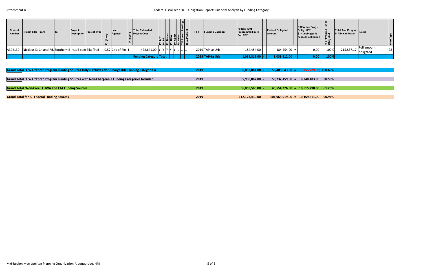| Control<br><b>Number</b> | <b>Project Title From</b>                                        | <b>ITo</b> | Project<br><b>Description</b> | <b>Project Type</b> | Lead<br>Agency     | <b>Total Estimated</b><br>$\frac{60}{5}$ Project Cost | <b>Ph Env</b><br><b>Ph Desien<br/> Ph Desien<br/> Ph Const<br/> Ph Other<br/> TIP Amend I<br/> TIP Amend I<br/> Blike/Ped Ino</b> |  | $ E $ $\overline{O}$ |  | <b>Funding Category</b> | <b>Federal Amt</b><br><b>Programmed in TIP</b><br><b>End FFY</b> | <b>Federal Obligated</b><br><b>Amount</b> | Difference Prog -<br>Oblig KEY:<br>$$1=$ unoblig $($1)$<br>=excess obligation | ් ලා ල<br>ិ ភ្នំ<br>న్ ౦ | Total Amt Prog'md<br>in TID with Match<br>in TIP with Match |                          |    |
|--------------------------|------------------------------------------------------------------|------------|-------------------------------|---------------------|--------------------|-------------------------------------------------------|-----------------------------------------------------------------------------------------------------------------------------------|--|----------------------|--|-------------------------|------------------------------------------------------------------|-------------------------------------------|-------------------------------------------------------------------------------|--------------------------|-------------------------------------------------------------|--------------------------|----|
|                          | A302130   Nicklaus Di Chianti Rd. Southern Blnstall pedeBike/Ped |            |                               |                     | $0.57$ City of Rio | 422,641.00 Y Y Y Y Y Y                                |                                                                                                                                   |  |                      |  | 2019 TAP-Lg Urb         | 184,454.00 -                                                     | $184,454.00$ =                            | 0.00                                                                          | 100%                     | 215,887.17                                                  | Full amount<br>obligated | 28 |
|                          |                                                                  |            |                               |                     |                    | <b>Funding Category Total</b>                         |                                                                                                                                   |  |                      |  | 2019 TAP-Lg Urb         | 1,039,812.00                                                     | $1,039,812.00$ $\mid$ $=$                 | 0.00                                                                          | 100%                     |                                                             |                          |    |

| Grand Total FHWA "Core" Program Funding Sources Only (Excludes Non-Chargeable Funding Categories) | 2019 | 56.053.864.00 -  | (355,779.00) 100.63%<br>$56,409,643.00 =$ |
|---------------------------------------------------------------------------------------------------|------|------------------|-------------------------------------------|
|                                                                                                   |      |                  |                                           |
| Grand Total FHWA "Core" Program Funding Sources with Non-Chargeable Funding Categories Included   | 2019 | 65,980,862.00 -  | 6,248,403.00 90.53%<br>$59,732,459.00 =$  |
|                                                                                                   |      |                  |                                           |
| Grand Total "Non-Core" FHWA and FTA Funding Sources                                               | 2019 | 56.069.566.00 -  | 45,554,276.00 = 10,515,290.00 81.25%      |
|                                                                                                   |      |                  |                                           |
| <b>Grand Total for All Federal Funding Sources</b>                                                | 2019 | 112,123,430.00 - | $101,963,919.00 = 10,159,511.00$ 90.94%   |
|                                                                                                   |      |                  |                                           |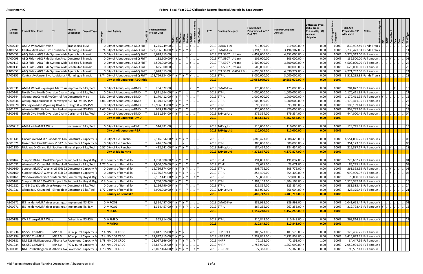| Control<br><b>Number</b> | <b>Project Title From</b>   |        | Project<br><b>Description</b>                                      | <b>Project Type</b>          | <b>Lead Agency</b>                                                                  | <b>Total Estimated</b><br><b>Project Cost</b> |           | <b>FFY</b>         | <b>Funding Category</b>   | <b>Federal Amt</b><br><b>Programmed in TIP</b><br><b>End FFY</b> | <b>Federal Obligated</b><br>Amount | Difference Prog<br>Oblig KEY:<br>$$1=$ unoblig $($1)$<br>=excess<br>obligation | Prog'l<br>lated<br>$\overline{5}$ $\frac{5}{2}$<br>රි | Total Amt<br>Prog'md in TIP<br>with Match | <b>Notes</b>         |  |                 |
|--------------------------|-----------------------------|--------|--------------------------------------------------------------------|------------------------------|-------------------------------------------------------------------------------------|-----------------------------------------------|-----------|--------------------|---------------------------|------------------------------------------------------------------|------------------------------------|--------------------------------------------------------------------------------|-------------------------------------------------------|-------------------------------------------|----------------------|--|-----------------|
| A300749                  | AMPA Wid AMPA Wide          |        | Transporta <sup>TDM</sup>                                          |                              | 0 City of Albuquerque-ABQ Rid T                                                     | 1,275,749.00                                  |           |                    | 2019 CMAQ-Flex            | 710,000.00                                                       | 710,000.00                         | 0.00                                                                           | 100%                                                  | 830,992.49 Funds Tran                     |                      |  |                 |
| TA00351                  |                             |        | Central Ave Unser Blvd Louisiana, Planning, e Transit              |                              | 8.74 City of Albuquerque-ABQ Rid T                                                  | 123,766,934.00 Y                              |           |                    | 2019 CMAQ-Flex            | 3,194,107.00                                                     | 3,194,107.00                       | 0.00                                                                           | 100%                                                  | 3,738,421.01 Funds Tran                   |                      |  |                 |
| TA00059                  |                             |        | ABQ Ride - ABQ Ride System Wide Aquire bus Transit                 |                              | 0 City of Albuquerque-ABQ Rid T                                                     | 6,628,313.00                                  |           |                    | 2019 FTA 5307 (Urban)     | 4,452,000.00                                                     | 4,452,000.00                       | 0.00                                                                           | 100%                                                  | 5,378,313.00 Full amour                   |                      |  |                 |
| TA00099                  | ABQ Ride                    |        | ABQ Ride Service Area Construct b Transit                          |                              | 0 City of Albuquerque-ABQ Rid T                                                     | 132,500.00 Y Y                                |           |                    | 2019 FTA 5307 (Urban)     | 106,000.00                                                       | 106,000.00                         | 0.00                                                                           | 100%                                                  | 132,500.00 Full amour                     |                      |  |                 |
| TA00113                  | ABQ Ride                    |        | - ABQ Ride System Wide Facilities & Transit                        |                              | 0 City of Albuquerque-ABQ Rid T                                                     | 4,500,000.00                                  |           |                    | 2019 FTA 5307 (Urban)     | 3,600,000.00                                                     | 3,600,000.00                       | 0.00                                                                           | 100%                                                  | 4,500,000.00 Full amoun                   |                      |  |                 |
| TA00138                  | ABQ Ride                    |        | - ABQ Ride System Wide Rehabilitat Transit                         |                              | 0 City of Albuquerque-ABQ Rid T                                                     | 625,000.00                                    |           |                    | 2019 FTA 5307 (Urban)     | 500,000.00                                                       | 500,000.00                         | 0.00                                                                           | 100%                                                  | 625,000.00 Full amoun                     |                      |  |                 |
| TA00059                  |                             |        | ABQ Ride - ABQ Ride System Wide Aquire bus Transit                 |                              | 0 City of Albuquerque-ABQ Rid T                                                     | 6,628,313.00                                  |           |                    | 2019 FTA 5339 (MAP-21 Bus | 4,090,972.00                                                     | 4,090,972.00                       | 0.00                                                                           | 100%                                                  | 4,771,732.00 Full amoun                   |                      |  |                 |
| TA00351                  |                             |        | Central Ave Unser Blvd Louisiana, Planning, e Transit              |                              | 8.74 City of Albuquerque-ABQ Rid T                                                  | 123,766,934.00 Y Y Y Y Y Y Y                  |           | 2019 STP-U         |                           | 3,000,000.00                                                     | 3,000,000.00                       | 0.00                                                                           | 100%                                                  | 3,511,235.85 Funds Tran Y                 |                      |  |                 |
|                          |                             |        |                                                                    |                              | <b>City of Albuquerque-ABQ Ride</b>                                                 |                                               |           | 2019               |                           | 19,653,079.00                                                    | 19,653,079.00                      | 0.00                                                                           | 100%                                                  |                                           |                      |  |                 |
|                          |                             |        |                                                                    |                              |                                                                                     |                                               |           |                    |                           |                                                                  |                                    |                                                                                |                                                       |                                           |                      |  |                 |
| A302031                  |                             |        | AMPA Wid Albuquerque Metro ArlmprovemeBike/Ped                     |                              | 0 City of Albuquerque-DMD                                                           | 204,822.00                                    |           |                    | 2019 CMAQ-Flex            | 175,000.00                                                       | 175,000.00                         | 0.00                                                                           | 100%                                                  | 204,822.09 Full amoun Y                   |                      |  |                 |
| A300143                  |                             |        | North Dive North Diversion Chann Design and Bike/Ped               |                              | 0 City of Albuquerque-DMD                                                           | 2,811,564.00 Y Y Y                            |           | 2019 STP-U         |                           | 1,000,000.00                                                     | 1,000,000.00                       | 0.00                                                                           | 100%                                                  | 1,170,411.95 Full amoun                   |                      |  |                 |
| A300844                  |                             |        | Albquerque Central Ave Central Ave Constructic Misc                |                              | 3.51 City of Albuquerque-DMD                                                        | 1,170,412.00 Y Y Y                            |           | 2019 STP-U         |                           | 1,000,000.00                                                     | 1,000,000.00                       | 0.00                                                                           | 100%                                                  | 1,170,411.95 Full amoun Y                 |                      |  |                 |
| A300846                  |                             |        | Albuquerqu Louisiana B Tramway B ASTPM Inst ITS-TSM                |                              | 4.06 City of Albuquerque-DMD                                                        | 1,170,412.00 Y Y Y  Y  .                      |           | 2019 STP-U         |                           | 1,000,000.00                                                     | 1,000,000.00                       | 0.00                                                                           | 100%                                                  | 1,170,411.95 Full amoun Y                 |                      |  |                 |
| A300970                  |                             |        | ITS Regiona 400 Wyoming Blvd. NE Design & collTS-TSM               |                              | 0 City of Albuquerque-DMD                                                           | 15,996,933.00 Y Y Y Y Y Y  .                  |           | 2019 STP-U         |                           | 93,300.00                                                        | 93,300.00                          | 0.00                                                                           | 100%                                                  | 109,199.44 Full amoun                     |                      |  |                 |
| A301471                  |                             |        | Alameda B Edith Blvd. San Pedro I Implement ITS-TSM                |                              | 1.67 City of Albuquerque-DMD                                                        | 959,738.00 Y Y Y  Y  .                        |           | 2019 STP-U         |                           | 820,000.00                                                       | 820,000.00                         | 0.00                                                                           | 100%                                                  | 959,737.80 Full amoun                     |                      |  |                 |
| A300143                  |                             |        | North Dive North Diversion Chann Design and Bike/Ped               |                              | 0 City of Albuquerque-DMD                                                           | 2,811,564.00 Y Y Y                            |           |                    | 2019 TAP-Lg Urb           | 379,354.00                                                       | 379,354.00                         | 0.00                                                                           | 100%                                                  | 444,000.46 Full amoun                     |                      |  |                 |
|                          |                             |        |                                                                    |                              | <b>City of Albuquerque-DMD</b>                                                      |                                               |           | 2019               |                           | 4,467,654.00                                                     | 4,467,654.00                       | 0.00                                                                           | 100%                                                  |                                           |                      |  |                 |
|                          |                             |        |                                                                    |                              |                                                                                     |                                               |           |                    |                           |                                                                  |                                    |                                                                                |                                                       |                                           |                      |  |                 |
| A300717                  | AMPA wide AMPA Wide         |        | Increase yd Bike/Ped                                               |                              | 0 City of Albuquerque-P&R                                                           | 514,981.00                                    |           |                    | 2019 TAP-Lg Urb           | 110,000.00                                                       | 110,000.00                         | 0.00                                                                           | 100%                                                  | 128,745.31 Full amoun                     |                      |  |                 |
|                          |                             |        |                                                                    |                              | <b>City of Albuquerque-P&amp;R</b>                                                  |                                               |           |                    | 2019 TAP-Lg Urb           | 110,000.00                                                       | 110,000.00                         | 0.00                                                                           | 100%                                                  |                                           |                      |  |                 |
| A301141                  |                             |        | Lincoln Ave NM347 Pas Adams Lan Construct 2 Capacity Pr            |                              | 0 City of Rio Rancho                                                                | 5,116,056.00 Y Y Y Y Y Y                      |           | 2019 STP-U         |                           | 3,888,423.00                                                     | 3,888,423.00                       | 0.00                                                                           | 100%                                                  | 4,551,056.75 Full amoun Y                 |                      |  |                 |
| A301321                  |                             |        | Unser Blvd Farol/CherrNM 347 (PaComplete FCapacity Pr              |                              | 0 City of Rio Rancho                                                                | 416,524.00                                    |           | 2019 STP-U         |                           | 300,000.00                                                       | 300,000.00                         | 0.00                                                                           | 100%                                                  | 351,123.59 Full amoun                     |                      |  |                 |
| A302130                  |                             |        | Nicklaus Dr Chianti Rd. Southern B Install pede Bike/Ped           |                              | 0.57 City of Rio Rancho                                                             | 422,641.00 Y Y Y Y Y Y  .                     |           |                    | 2019 TAP-Lg Urb           | 184,454.00                                                       | 184,454.00                         | 0.00                                                                           | 100%                                                  | 215,887.17 Full amoun Y                   |                      |  |                 |
|                          |                             |        |                                                                    |                              | <b>City of Rio Rancho</b>                                                           |                                               |           |                    | 2019 TAP-Lg Urb           | 4,372,877.00                                                     | 4,372,877.00                       | 0.00                                                                           | 100%                                                  |                                           |                      |  |                 |
|                          |                             |        |                                                                    |                              |                                                                                     |                                               |           |                    |                           |                                                                  |                                    |                                                                                |                                                       |                                           |                      |  |                 |
| A300162                  |                             |        | Sunport Bl\I-25 On/OffSunport Bl\Sunport Bl\Hwy & Brg              |                              | 0.8 County of Bernalillo                                                            | 1,750,000.00 Y Y Y                            |           | 2019 STL-E         |                           | 191,097.00                                                       | 191,097.00                         | 0.00                                                                           | 100%                                                  | 223,662.21 Full amoun                     |                      |  |                 |
| A301031                  |                             |        | Alameda DOsuna Rd   El Pueblo R Construct a Bike/Ped               |                              | 1.77 County of Bernalillo                                                           | 2,900,000.00 Y Y Y                            |           | 2019 STL-E         |                           | 73,671.00                                                        | 73,671.00                          | 0.00                                                                           | 100%                                                  |                                           | 86,225.42 Full amoun |  |                 |
| A300160                  |                             |        | Sunport BN 500' West (I-25 Exit 22 Construct r Capacity Pr         |                              | 0 County of Bernalillo                                                              | 19,756,874.00 Y Y Y Y Y Y  .                  |           | 2019 STP-U         |                           | 308,775.00                                                       | 308,775.00                         | 0.00                                                                           | 100%                                                  | 361,393.95 Full amoun                     |                      |  |                 |
|                          |                             |        | A300160 Sunport BN 500' West (I-25 Exit 22 Construct r Capacity Pr |                              | 0 County of Bernalillo                                                              | 19,756,874.00 Y Y Y Y Y Y                     | <b>IV</b> | 2019 STP-U         |                           | 854,400.00                                                       | $854,400.00$ =                     | 0.00                                                                           | 100%                                                  | 999,999.97 Full amoun                     |                      |  |                 |
| A300161                  |                             |        |                                                                    |                              | Woodward Intersection Intersection Completely Hwy & Brg   0.58 County of Bernalillo | 5,157,141.00 Y Y Y Y Y Y  Y Y                 |           | 2019 STP-U         |                           | 59,808.00                                                        | 59,808.00                          | 0.00                                                                           | 100%                                                  |                                           | 70,000.00 Full amoun |  |                 |
| A300162                  |                             |        | Sunport Blv I-25 On/OffSunport BlvSunport Blv Hwy & Brg            |                              | 0.8 County of Bernalillo                                                            | 1,750,000.00 Y Y Y J. Y                       |           | 2019 STP-U         |                           | 1,304,103.00                                                     | 1,304,103.00                       | 0.00                                                                           | 100%                                                  | 1,526,337.74 Full amoun Y                 |                      |  |                 |
| A301522                  |                             |        | 2nd St SW South diver Prosperity Construct r Bike/Ped              |                              | 0 County of Bernalillo                                                              | 1,156,790.00 Y Y Y  Y  Y  Y                   |           | 2019 STP-U         |                           | 325,854.00                                                       | 325,854.00                         | 0.00                                                                           | 100%                                                  | 381,383.42 Full amoun Y                   |                      |  |                 |
| A301031                  |                             |        | Alameda DOsuna Rd   El Pueblo R Construct a Bike/Ped               |                              | 1.77 County of Bernalillo                                                           | 2,900,000.00 Y Y Y  Y                         |           |                    | 2019 TAP-Lg Urb           | 366,004.00                                                       | 366,004.00                         | 0.00                                                                           | 100%                                                  | 428,375.46 Full amoun                     |                      |  | 21              |
|                          |                             |        |                                                                    |                              | <b>County of Bernalillo</b>                                                         |                                               |           | 2019               |                           | 3,483,712.00                                                     | 3,483,712.00                       | 0.00                                                                           | 100%                                                  |                                           |                      |  |                 |
|                          |                             |        |                                                                    |                              |                                                                                     |                                               |           |                    |                           |                                                                  |                                    |                                                                                |                                                       |                                           |                      |  |                 |
| A300971                  |                             |        | ITS Inciden AMPA river crossings, Implement ITS-TSM                |                              | 0 MRCOG                                                                             | 1,354,457.00 Y Y Y Y Y Y                      |           |                    | 2019 CMAQ-Flex            | 889,993.00                                                       | 889,993.00                         | 0.00                                                                           | 100%                                                  | 1,041,658.44 Full amoun Y                 |                      |  | $\therefore$ 01 |
| A300971                  |                             |        | ITS Inciden AMPA river crossings, Implement ITS-TSM                |                              | 0 MRCOG                                                                             | 1,354,457.00 Y Y Y Y Y Y                      |           | 2019 STP-U         |                           | 267,255.00                                                       | 267,255.00                         | 0.00                                                                           | 100%                                                  | 312,798.45 Full amoun Y   Y               |                      |  |                 |
|                          |                             |        |                                                                    |                              | <b>MRCOG</b>                                                                        |                                               |           | 2019               |                           | 1,157,248.00                                                     | 1,157,248.00                       | 0.00                                                                           | 100%                                                  |                                           |                      |  |                 |
|                          |                             |        |                                                                    |                              |                                                                                     |                                               |           |                    |                           |                                                                  |                                    |                                                                                |                                                       |                                           |                      |  |                 |
|                          | A300189 CMP Trans AMPA Wide |        | Collect travITS-TSM                                                |                              | 0 MRMPO<br><b>MRMPO</b>                                                             | 363,814.00 $ V $                              |           | 2019 STP-U<br>2019 |                           | 310,843.00                                                       | 310,843.00                         | 0.00                                                                           | 100%<br>100%                                          | 363,814.36 Full amoun Y                   |                      |  | $\therefore$ 23 |
|                          |                             |        |                                                                    |                              |                                                                                     |                                               |           |                    |                           | 310,843.00                                                       | 310,843.00                         | 0.00                                                                           |                                                       |                                           |                      |  |                 |
| A301234                  | US 550 Cor MP.6             | MP 3.0 |                                                                    | <b>ROW purch Capacity Pr</b> | 2.4 NMDOT CRDC                                                                      | 32,847,915.00 Y Y Y Y                         |           | 2019 HPP RPF1      |                           | 103,573.00                                                       | 103,573.00                         | 0.00                                                                           | 100%                                                  | 129,466.25 Full amoun                     |                      |  |                 |
|                          | A301234   US 550 Cor MP.6   | MP 3.0 |                                                                    |                              | ROW purch Capacity Pr 2.4 NMDOT CRDC                                                | 32,847,915.00 Y Y Y Y                         |           | 2019 HPP RPS1      |                           | 2,732,859.00                                                     | 2,732,859.00                       | 0.00                                                                           | 100%                                                  | 3,416,073.75 Full amoun Y                 |                      |  |                 |
| A300381                  |                             |        |                                                                    |                              | NM 528 Ric Ridgecrest Alberta AvePavement Capacity Pr 1.78 NMDOT CRDC               | 28,027,166.00 Y Y Y Y Y Y  Y Y                |           | 2019 NHPP          |                           | 72,152.00                                                        | 72,151.00                          | 1.00                                                                           | 100%                                                  |                                           | 84,447.56 Full amoun |  |                 |
| A301234                  | US 550 Cor MP.6             | MP 3.0 |                                                                    |                              | ROW purch Capacity Pr 2.4 NMDOT CRDC                                                | 32,847,915.00 Y Y Y Y Y                       |           | 2019 NHPP          |                           | 1,753,999.00                                                     | 1,753,999.00                       | 0.00                                                                           | 100%                                                  | 2,052,901.39 Full amoun Y                 |                      |  |                 |
|                          |                             |        |                                                                    |                              | A300381   NM 528 Ric Ridgecrest Alberta AvePavement (Capacity Pr 1.78 NMDOT CRDC    | 28,027,166.00 Y Y Y Y Y Y  Y Y                |           | $2019$ STP-Flex    |                           | 77,368.00                                                        | 77,368.00                          | 0.00                                                                           | 100%                                                  |                                           | 90,552.43 Full amoun |  |                 |
|                          |                             |        |                                                                    |                              |                                                                                     |                                               |           |                    |                           |                                                                  |                                    |                                                                                |                                                       |                                           |                      |  |                 |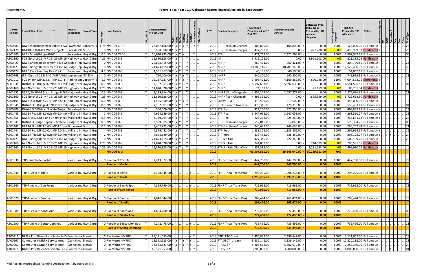| Control<br><b>Number</b> | <b>Project Title From</b>        |                                    | Project<br><b>Project Type</b><br><b>Description</b>                   | $\frac{4}{5}$ | <b>Lead Agency</b>             | <b>Total Estimated</b><br><b>Project Cost</b> | $\frac{1}{6}$ $\frac{1}{3}$ $\frac{1}{6}$<br>8 8 5<br>  <u>  동   동   동   동   풍</u> | <b>FFY</b><br><b>Funding Category</b> | <b>Federal Amt</b><br>Programmed in TIP<br><b>End FFY</b> | <b>Federal Obligated</b><br>Amount | Difference Prog -<br><b>Oblig KEY:</b><br>\$1= unoblig (\$1)<br>=excess<br>obligation | Prog'<br>lated<br>ㅎ 블 | <b>Total Amt</b><br>Prog'md in TIP<br>with Match | <b>Notes</b>          |   |                                    |
|--------------------------|----------------------------------|------------------------------------|------------------------------------------------------------------------|---------------|--------------------------------|-----------------------------------------------|------------------------------------------------------------------------------------|---------------------------------------|-----------------------------------------------------------|------------------------------------|---------------------------------------------------------------------------------------|-----------------------|--------------------------------------------------|-----------------------|---|------------------------------------|
| A300381                  |                                  |                                    | NM 528 Rid Ridgecrest Alberta Ave Pavement Capacity Pr 1.78 NMDOT CRDC |               |                                | 28,027,166.00 Y Y Y Y                         |                                                                                    | 2019 STP-Flex (Non-Chargea            | 106,800.00                                                | 106,800.00                         | 0.00                                                                                  | 100%                  | 125,000.00 Full amoun                            |                       |   |                                    |
| A302170                  |                                  |                                    | NMDOT CRAMPA Wide projects T Provide Pla Misc                          |               | 0 NMDOT CRDC                   | 500,000.00 Y Y Y                              |                                                                                    | 2019 STP-Flex (Non-Chargea            | 427,200.00                                                | 0.00                               | 427,200.00                                                                            | 0%                    | 499,999.99 Funds not (                           |                       |   |                                    |
| A301900                  |                                  | I-25 / Mont (Bridge #6261)         | Reconstrud Hwy & Brg                                                   |               | 0.7 NMDOT CRDC                 | 50,640,283.00 Y Y Y Y                         |                                                                                    | 2019 STP-U                            | 2,471,769.00                                              | 2,471,769.00                       | 0.00                                                                                  | 100%                  | 2,892,987.98 Full amour                          |                       |   |                                    |
| A302160                  |                                  |                                    | I-25 North: I-25 MP 19I-25 MP 19  Highway pr Hwy & Brg                 |               | 4.25 NMDOT D-3                 | 11,820,328.00 Y Y Y                           |                                                                                    | 2019 IM                               | 3,911,108.00                                              | 0.00                               | 3,911,108.00                                                                          | 0%                    | 4,221,835.09 Funds not                           |                       |   |                                    |
| A300423                  |                                  |                                    | NM 6 Bridge Replacement (Rio GrBridge Rep Hwy & Brg                    |               | 0 NMDOT D-3                    | 24,673,415.00 Y Y Y                           |                                                                                    | 2019 NHPP                             | 260,421.00                                                | 260,421.00                         | 0.00                                                                                  | 100%                  | 304,799.85 Full amour                            |                       |   |                                    |
| A300423                  |                                  |                                    | NM 6 Bridge Replacement (Rio Gr Bridge Rep Hwy & Brg                   |               | 0 NMDOT D-3                    | 24,673,415.00 Y Y Y                           |                                                                                    | 2019 NHPP                             | 10,705,146.00                                             | 10,705,146.00                      | 0.00                                                                                  | 100%                  | 12,529,430.82 Full amour                         |                       |   |                                    |
| A300424                  |                                  | NM 6 Pave Hunning RaNM 47          | Pavement   Hwy & Brg                                                   |               | 4.7 NMDOT D-3                  | 4,531,967.00 Y Y Y                            |                                                                                    | 2019 NHPP                             | 46,195.00                                                 | 46,195.00                          | 0.00                                                                                  | 100%                  |                                                  | 54,067.18 Full amoun  |   |                                    |
| A300769                  |                                  |                                    | ITS - Distric I-25 & I-40 AMPA Wid Implement ITS-TSM                   |               | 0 NMDOT D-3                    | 750,000.00 Y Y Y Y Y Y                        |                                                                                    | 2019 NHPP                             | 640,800.00                                                | 640,800.00                         | 0.00                                                                                  | 100%                  | 749,999.98 Full amoun Y                          |                       |   |                                    |
| A301011                  |                                  |                                    | 1-25 Widen MP 215.8 MP 217.4 Adding one Capacity Pr                    |               | $1.6$ NMDOT D-3                | 12,137,927.00 Y Y Y Y Y                       |                                                                                    | 2019 NHPP                             | 3,498,421.00                                              | 4,169,369.00                       | $-670,948.00$                                                                         | 119%                  | 4,094,593.75 More fund!)                         |                       |   |                                    |
| A301345                  |                                  |                                    | District 3 B Bridge #7398 (18.1 mil Bridge repl Hwy & Brg              |               | $0.1$ NMDOT D-3                | 7,102,001.00 Y Y Y                            |                                                                                    | 2019 NHPP                             | 5,597,633.00                                              | 5,597,633.00                       | 0.00                                                                                  | 100%                  | 6,551,536.56 Full amoun Y                        |                       |   |                                    |
| A302160                  |                                  |                                    | I-25 Northt I-25 MP 19I-25 MP 19 Highway pr Hwy & Brg                  |               | 4.25 NMDOT D-3                 | 11,820,328.00 Y Y Y                           |                                                                                    | 2019 NHPP                             | 71,159.00                                                 | 0.00                               | 71,159.00                                                                             | $\overline{0}$        |                                                  | 83,285.34 Funds not ( |   |                                    |
| A301555                  |                                  |                                    | NM 6/BNSI NM 6 and Bridge #766 Major rehal Hwy & Brg                   |               | $0.5$ NMDOT D-3                | 3,139,764.00 Y Y Y                            |                                                                                    | 2019 NHPP (Non-Chargeabl              | 2,457,277.00                                              | 2,457,277.00                       | 0.00                                                                                  | 100%                  | 2,876,026.37 Full amoun Y                        |                       |   |                                    |
| A302160                  |                                  |                                    | I-25 Northt I-25 MP 19I-25 MP 19 Highway pr Hwy & Brg                  |               | 4.25 NMDOT D-3                 | 11,820,328.00 Y Y Y                           |                                                                                    | 2019 NHPP (Non-Chargeable             | 4,895,399.00                                              | 0.00                               | 4,895,399.00                                                                          | $\overline{0}$        | 5,729,633.50 Funds not (                         |                       |   |                                    |
| A300191                  |                                  |                                    | NM 314 & MP 7.25 (PMP 7.85 (Traddition of Hwy & Brg)                   |               | $0.6$ NMDOT D-3                | 4,555,000.00 Y Y Y Y Y Y                      |                                                                                    | 2019 Safety (HSIP)                    | 319,500.00                                                | 319,500.00                         | 0.00                                                                                  | 100%                  | 355,000.00 Full amoun                            |                       |   |                                    |
| A301345                  |                                  |                                    | District 3 B Bridge #7398 (18.1 mil Bridge repl Hwy & Brg              |               | $0.1$ NMDOT D-3                | 7,102,001.00 Y Y Y .                          |                                                                                    | 2019 STFE (Exempt from Lin            | 470,316.00                                                | 470,316.00                         | 0.00                                                                                  | 100%                  | 550,463.47 Full amoun                            |                       |   |                                    |
| A300808                  |                                  |                                    | District 3 O District 3 Wide Project Provide pla Misc                  |               | 0 NMDOT D-3                    | 500,000.00 Y Y Y .                            |                                                                                    | $2019$ STP-Flex                       | 427,200.00                                                | 427,200.00                         | 0.00                                                                                  | 100%                  | 499,999.99 Full amoun                            |                       |   |                                    |
| A301445                  |                                  |                                    | NM 14 Roa MP 4.0 (MeMP 6.0 (no Mill and in Hwy & Brg                   |               | 2 NMDOT D-3                    | 4,664,689.00 Y Y Y                            |                                                                                    | $2019$ STP-Flex                       | 3,647,058.00                                              | 3,647,058.00                       | 0.00                                                                                  | 100%                  | 4,268,560.27 Full amoun                          |                       |   |                                    |
| A301555                  |                                  |                                    | NM 6/BNSINM 6 and Bridge #766 Major rehalHwy & Brg                     |               | $0.5$ NMDOT D-3                | 3,139,764.00 Y Y Y                            |                                                                                    | $2019$ STP-Flex                       | 225,264.00                                                | 225,264.00                         | 0.00                                                                                  | 100%                  | 263,651.68 Full amoun                            |                       |   |                                    |
| A301343                  |                                  |                                    | District 3 Bridge Repairs - Mateo CBridge repl Hwy & Brg               |               | $0.6$ NMDOT D-3                | 3,599,305.00 Y Y Y                            |                                                                                    | 2019 STP-Flex (Non-Chargea            | 512,046.00                                                | 512,046.00                         | 0.00                                                                                  | 100%                  | 599,304.76 Full amour                            |                       |   |                                    |
| A301441                  |                                  |                                    | NM 14 Slor MP 3.5 (Ca MP 4.2 (no Slope erosi Misc                      |               | $0.7$ NMDOT D-3                | 3,462,222.00 Y Y Y                            |                                                                                    | 2019 STP-Flex (Non-Chargea            | 246,693.00                                                | 246,693.00                         | 0.00                                                                                  | 100%                  | 288,732.44 Full amour                            |                       |   |                                    |
| A301444                  |                                  |                                    | NM 14 Roa MP 0.0 Cas MP 4.0 Sno Mill and in Hwy & Brg                  |               | 4 NMDOT D-3                    | 4,379,452.00 Y Y Y                            |                                                                                    | 2019 STP-Rural                        | 1,338,806.00                                              | 1,338,806.00                       | 0.00                                                                                  | 100%                  | 1,566,954.54 Full amoun                          |                       |   |                                    |
| A301445                  |                                  |                                    | NM 14 Roa MP 4.0 (MeMP 6.0 (no Mill and in Hwy & Brg                   |               | 2 NMDOT D-3                    | 4,664,689.00 Y Y Y                            |                                                                                    | 2019 STP-Rural                        | 338,452.00                                                | 338,452.00                         | 0.00                                                                                  | 100%                  | 396,128.27 Full amoun                            |                       |   |                                    |
| A300423                  |                                  |                                    | NM 6 Bridge Replacement (Rio Gr Bridge Rep Hwy & Brg                   |               | 0 NMDOT D-3                    | 24,673,415.00 Y Y Y                           |                                                                                    | 2019 STP-Sm Urb                       | 427,345.00                                                | 427,345.00                         | 0.00                                                                                  | 100%                  | 500,169.70 Full amoun                            |                       |   |                                    |
| A302160                  |                                  |                                    | 1-25 Northt I-25 MP 191-25 MP 19 Highway pr Hwy & Brg                  |               | 4.25 NMDOT D-3                 | 11,820,328.00 Y Y Y                           |                                                                                    | 2019 STP-Sm Urb                       | 244,009.00                                                | 0.00                               | 244,009.00                                                                            | $\overline{0}$        | 285,591.05 Funds not (                           |                       |   |                                    |
| A302160                  |                                  |                                    | 1-25 Northt 1-25 MP 191-25 MP 19 Highway pr Hwy & Brg 4.25 NMDOT D-3   |               |                                | 11,820,328.00 Y Y Y                           |                                                                                    | 2019 STP-Sm Urb (Non-Char             | 1,281,583.00                                              | 0.00                               | 1,281,583.00                                                                          | 0 <sup>9</sup>        | 1,499,980.06 Funds not (                         |                       |   |                                    |
|                          |                                  |                                    |                                                                        |               | <b>NMDOT D-3</b>               |                                               |                                                                                    | 2019                                  | 49,307,551.00                                             | 39,148,040.00                      | 10,159,511.00                                                                         | 79%                   |                                                  |                       |   |                                    |
|                          |                                  |                                    |                                                                        |               |                                |                                               |                                                                                    |                                       |                                                           |                                    |                                                                                       |                       |                                                  |                       |   |                                    |
|                          | A301930   TTP- Pueblo de Cochiti |                                    | Various mu Hwy & Brg                                                   |               | 0 Pueblo of Cochiti            | $2,243,872.00$ .                              |                                                                                    | 2019 FLHP-Tribal Trans Prog           | 447,700.00                                                | 447,700.00                         | 0.00                                                                                  | 100%                  | 447,700.00 Full amoun                            |                       |   |                                    |
|                          |                                  |                                    |                                                                        |               | <b>Pueblo of Cochiti</b>       |                                               |                                                                                    | 2019                                  | 447,700.00                                                | 447,700.00                         | 0.00                                                                                  | 100%                  |                                                  |                       |   |                                    |
|                          |                                  |                                    |                                                                        |               |                                |                                               |                                                                                    |                                       |                                                           |                                    |                                                                                       |                       |                                                  |                       |   |                                    |
|                          | A301940   TTP-Pueblo of Isleta   |                                    | Various mu Hwy & Brg                                                   |               | 0 Pueblo of Isleta             | 4,728,445.00                                  |                                                                                    | 2019 FLHP-Tribal Trans Prog           | 1,298,235.00                                              | 1,298,235.00 =                     | 0.00                                                                                  | 100%                  | 1,298,235.00 Full amoun                          |                       |   |                                    |
|                          |                                  |                                    |                                                                        |               | <b>Pueblo of Isleta</b>        |                                               |                                                                                    | 2019                                  | 1,298,235.00                                              | 1,298,235.00                       | 0.00                                                                                  | 100%                  |                                                  |                       |   |                                    |
|                          |                                  |                                    |                                                                        |               |                                |                                               |                                                                                    |                                       |                                                           |                                    |                                                                                       |                       |                                                  |                       |   |                                    |
|                          |                                  | A301960   TTP-Pueblo of San Felipe | Various mu Hwy & Brg                                                   |               | 0 Pueblo of San Felipe         | 4,319,790.00                                  | $\mathsf{Y}$                                                                       | 2019 FLHP-Tribal Trans Prog           | 719,965.00                                                | 719,965.00                         | 0.00                                                                                  | 100%                  | 719,965.00 Full amoun.                           |                       |   | 21                                 |
|                          |                                  |                                    |                                                                        |               | <b>Pueblo of San Felipe</b>    |                                               |                                                                                    | 2019                                  | 719,965.00                                                | 719,965.00                         | 0.00                                                                                  | 100%                  |                                                  |                       |   |                                    |
|                          |                                  |                                    |                                                                        |               |                                |                                               |                                                                                    |                                       |                                                           |                                    |                                                                                       |                       |                                                  |                       |   |                                    |
|                          | A301970   TTP-Pueblo of Sandia   |                                    | Various mu Hwy & Brg                                                   |               | 0 Pueblo of Sandia             | 1,616,844.00                                  | Y                                                                                  | 2019 FLHP-Tribal Trans Prog           | 269,474.00                                                | 269,474.00                         | 0.00                                                                                  | 100%                  | 269,474.00 Full amoun                            |                       | Y |                                    |
|                          |                                  |                                    |                                                                        |               | <b>Pueblo of Sandia</b>        |                                               |                                                                                    | 2019                                  | 269,474.00                                                | 269,474.00                         | 0.00                                                                                  | 100%                  |                                                  |                       |   |                                    |
|                          |                                  |                                    |                                                                        |               |                                |                                               |                                                                                    |                                       |                                                           |                                    |                                                                                       |                       |                                                  |                       |   |                                    |
| A301980                  |                                  | TTP-Pueblo of Santa Ana            | Various muHwy & Brg                                                    |               | 0 Pueblo of Santa Ana          | $1,634,700.00$ Y                              |                                                                                    | 2019 FLHP-Tribal Trans Prog           | 272,450.00                                                | 272,450.00                         | 0.00                                                                                  | 100%                  | 272,450.00 Full amoun.                           |                       |   |                                    |
|                          |                                  |                                    |                                                                        |               | <b>Pueblo of Santa Ana</b>     |                                               |                                                                                    | 2019                                  | 272,450.00                                                | 272,450.00                         | 0.00                                                                                  | 100%                  |                                                  |                       |   |                                    |
|                          |                                  |                                    |                                                                        |               |                                |                                               |                                                                                    |                                       |                                                           |                                    |                                                                                       |                       |                                                  |                       |   |                                    |
| A301990                  |                                  | <b>TTP-Pueblo of Santo Domingo</b> | Various mu Hwy & Brg                                                   |               | 0 Pueblo of Santo Domingo      | $4,242,478.00$ .                              | $\  \cdot \ $ Y $\  \cdot$                                                         | 2019 FLHP-Tribal Trans Prog           | 735,496.00                                                | 735,496.00                         | 0.00                                                                                  | 100%                  | 735,496.00 Full amoun.                           |                       |   | $\begin{bmatrix} 21 \end{bmatrix}$ |
|                          |                                  |                                    |                                                                        |               | <b>Pueblo of Santo Domingo</b> |                                               |                                                                                    | 2019                                  | 735,496.00                                                | 735,496.00                         | 0.00                                                                                  | 100%                  |                                                  |                       |   |                                    |
|                          |                                  |                                    |                                                                        |               |                                |                                               |                                                                                    |                                       |                                                           |                                    |                                                                                       |                       |                                                  |                       |   |                                    |
| TA00411                  |                                  |                                    | NMRX Posi Belen Stati Santa Fe DeComplete e Transit                    |               | 0 Rio Metro NMRRX              | 65,171,053.00                                 | $\sqrt{ \mathsf{Y} }$ $ \mathsf{Y} $ $\ldots$                                      | 2019 CRISI PTC Grant                  | 2,496,842.00                                              | 2,496,842.00                       | 0.00                                                                                  | 100%                  | 3,121,052.50 Full amoun                          |                       |   | 28                                 |
| TA00267                  |                                  |                                    | Commuter NMRRX Service Area Capital mai Transit                        |               | 0 Rio Metro NMRRX              | 18,573,523.00 Y Y Y Y Y Y Y                   |                                                                                    | 2019 FTA 5307 (Urban)                 | 8,336,146.00                                              | 8,336,146.00                       | 0.00                                                                                  | 100%                  | 11,320,183.00 Full amoun                         |                       |   |                                    |
| TA00267                  |                                  |                                    | Commuter NMRRX Service Area Capital mai Transit                        |               | 0 Rio Metro NMRRX              | 18,573,523.00 Y Y Y Y Y Y Y                   |                                                                                    | 2019 FTA 5337                         | 5,802,672.00                                              | 5,802,672.00                       | 0.00                                                                                  | 100%                  | 7,253,340.00 Full amoun                          |                       |   |                                    |
| TA00411                  |                                  |                                    | NMRX Posi Belen Stati Santa Fe D Complete dTransit                     |               | 0 Rio Metro NMRRX              | 65,171,053.00.                                | $\  \cdot \ $ Y $\ $ Y $\  \cdot \ $ .                                             | 2019 FTA 5337                         | 3,200,000.00                                              | 3,200,000.00                       | 0.00                                                                                  | 100%                  | 4,000,000.00 Full amoun                          |                       |   | 01                                 |
|                          |                                  |                                    |                                                                        |               |                                |                                               |                                                                                    |                                       |                                                           |                                    |                                                                                       |                       |                                                  |                       |   |                                    |